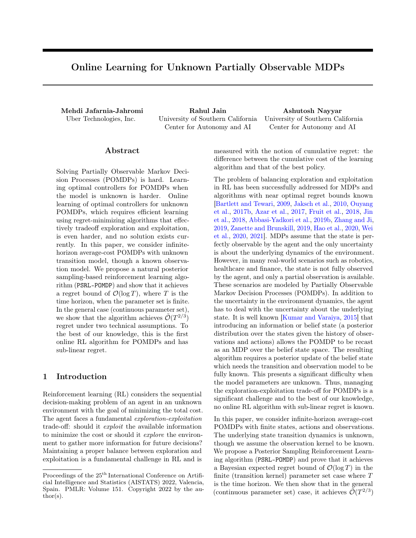# Online Learning for Unknown Partially Observable MDPs

Mehdi Jafarnia-Jahromi Rahul Jain Ashutosh Nayyar Uber Technologies, Inc. University of Southern California Center for Autonomy and AI

University of Southern California Center for Autonomy and AI

# ${\rm Abstract}$

Solving Partially Observable Markov Decision Processes (POMDPs) is hard. Learning optimal controllers for POMDPs when the model is unknown is harder. Online learning of optimal controllers for unknown POMDPs, which requires efficient learning using regret-minimizing algorithms that effectively tradeoff exploration and exploitation, is even harder, and no solution exists currently. In this paper, we consider infinitehorizon average-cost POMDPs with unknown transition model, though a known observation model. We propose a natural posterior sampling-based reinforcement learning algorithm (PSRL-POMDP) and show that it achieves a regret bound of  $\mathcal{O}(\log T)$ , where T is the time horizon, when the parameter set is finite. In the general case (continuous parameter set), we show that the algorithm achieves  $\tilde{\mathcal{O}}(T^{2/3})$ regret under two technical assumptions. To the best of our knowledge, this is the first online RL algorithm for POMDPs and has sub-linear regret.

# 1 Introduction

Reinforcement learning (RL) considers the sequential decision-making problem of an agent in an unknown environment with the goal of minimizing the total cost. The agent faces a fundamental exploration-exploitation trade-off: should it exploit the available information to minimize the cost or should it *explore* the environment to gather more information for future decisions? Maintaining a proper balance between exploration and exploitation is a fundamental challenge in RL and is measured with the notion of cumulative regret: the difference between the cumulative cost of the learning algorithm and that of the best policy.

The problem of balancing exploration and exploitation in RL has been successfully addressed for MDPs and algorithms with near optimal regret bounds known [\[Bartlett and Tewari,](#page-8-0) [2009,](#page-8-0) [Jaksch et al.,](#page-9-0) [2010,](#page-9-0) [Ouyang](#page-9-1) [et al.,](#page-9-1) [2017b,](#page-9-1) [Azar et al.,](#page-8-1) [2017,](#page-8-1) [Fruit et al.,](#page-9-2) [2018,](#page-9-2) [Jin](#page-9-3) [et al.,](#page-9-3) [2018,](#page-9-3) [Abbasi-Yadkori et al.,](#page-8-2) [2019b,](#page-8-2) [Zhang and Ji,](#page-10-0) [2019,](#page-10-0) [Zanette and Brunskill,](#page-10-1) [2019,](#page-10-1) [Hao et al.,](#page-9-4) [2020,](#page-9-4) [Wei](#page-10-2) [et al.,](#page-10-2) [2020,](#page-10-2) [2021\]](#page-10-3). MDPs assume that the state is perfectly observable by the agent and the only uncertainty is about the underlying dynamics of the environment. However, in many real-world scenarios such as robotics, healthcare and finance, the state is not fully observed by the agent, and only a partial observation is available. These scenarios are modeled by Partially Observable Markov Decision Processes (POMDPs). In addition to the uncertainty in the environment dynamics, the agent has to deal with the uncertainty about the underlying state. It is well known [\[Kumar and Varaiya,](#page-9-5) [2015\]](#page-9-5) that introducing an information or belief state (a posterior distribution over the states given the history of observations and actions) allows the POMDP to be recast as an MDP over the belief state space. The resulting algorithm requires a posterior update of the belief state which needs the transition and observation model to be fully known. This presents a significant difficulty when the model parameters are unknown. Thus, managing the exploration-exploitation trade-off for POMDPs is a significant challenge and to the best of our knowledge, no online RL algorithm with sub-linear regret is known.

In this paper, we consider infinite-horizon average-cost POMDPs with finite states, actions and observations. The underlying state transition dynamics is unknown, though we assume the observation kernel to be known. We propose a Posterior Sampling Reinforcement Learning algorithm (PSRL-POMDP) and prove that it achieves a Bayesian expected regret bound of  $\mathcal{O}(\log T)$  in the finite (transition kernel) parameter set case where T is the time horizon. We then show that in the general (continuous parameter set) case, it achieves  $\tilde{\mathcal{O}}(T^{2/3})$ 

Proceedings of the  $25^{\text{th}}$  International Conference on Artificial Intelligence and Statistics (AISTATS) 2022, Valencia, Spain. PMLR: Volume 151. Copyright 2022 by the au- $\text{thor}(s)$ .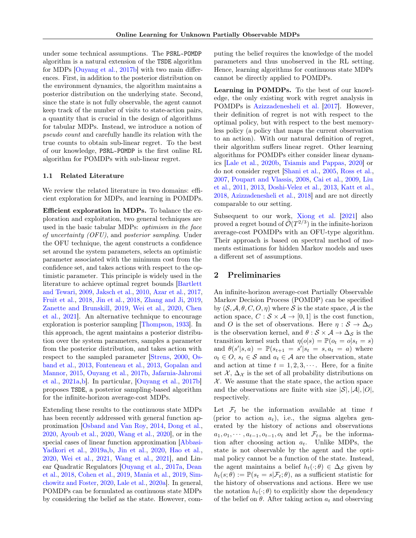under some technical assumptions. The PSRL-POMDP algorithm is a natural extension of the TSDE algorithm for MDPs [\[Ouyang et al.,](#page-9-1) [2017b\]](#page-9-1) with two main differences. First, in addition to the posterior distribution on the environment dynamics, the algorithm maintains a posterior distribution on the underlying state. Second, since the state is not fully observable, the agent cannot keep track of the number of visits to state-action pairs, a quantity that is crucial in the design of algorithms for tabular MDPs. Instead, we introduce a notion of pseudo count and carefully handle its relation with the true counts to obtain sub-linear regret. To the best of our knowledge, PSRL-POMDP is the first online RL algorithm for POMDPs with sub-linear regret.

#### 1.1 Related Literature

We review the related literature in two domains: efficient exploration for MDPs, and learning in POMDPs.

Efficient exploration in MDPs. To balance the exploration and exploitation, two general techniques are used in the basic tabular MDPs: optimism in the face of uncertainty (OFU), and posterior sampling. Under the OFU technique, the agent constructs a confidence set around the system parameters, selects an optimistic parameter associated with the minimum cost from the confidence set, and takes actions with respect to the optimistic parameter. This principle is widely used in the literature to achieve optimal regret bounds [\[Bartlett](#page-8-0) [and Tewari,](#page-8-0) [2009,](#page-8-0) [Jaksch et al.,](#page-9-0) [2010,](#page-9-0) [Azar et al.,](#page-8-1) [2017,](#page-8-1) [Fruit et al.,](#page-9-2) [2018,](#page-9-2) [Jin et al.,](#page-9-3) [2018,](#page-9-3) [Zhang and Ji,](#page-10-0) [2019,](#page-10-0) [Zanette and Brunskill,](#page-10-1) [2019,](#page-10-1) [Wei et al.,](#page-10-2) [2020,](#page-10-2) [Chen](#page-8-3) [et al.,](#page-8-3) [2021\]](#page-8-3). An alternative technique to encourage exploration is posterior sampling [\[Thompson,](#page-10-4) [1933\]](#page-10-4). In this approach, the agent maintains a posterior distribution over the system parameters, samples a parameter from the posterior distribution, and takes action with respect to the sampled parameter [\[Strens,](#page-10-5) [2000,](#page-10-5) [Os](#page-9-6)[band et al.,](#page-9-6) [2013,](#page-9-6) [Fonteneau et al.,](#page-9-7) [2013,](#page-9-7) [Gopalan and](#page-9-8) [Mannor,](#page-9-8) [2015,](#page-9-8) [Ouyang et al.,](#page-9-1) [2017b,](#page-9-1) [Jafarnia-Jahromi](#page-9-9) [et al.,](#page-9-9) [2021a](#page-9-9)[,b\]](#page-9-10). In particular, [\[Ouyang et al.,](#page-9-1) [2017b\]](#page-9-1) proposes TSDE, a posterior sampling-based algorithm for the infinite-horizon average-cost MDPs.

Extending these results to the continuous state MDPs has been recently addressed with general function approximation [\[Osband and Van Roy,](#page-9-11) [2014,](#page-9-11) [Dong et al.,](#page-9-12) [2020,](#page-9-12) [Ayoub et al.,](#page-8-4) [2020,](#page-8-4) [Wang et al.,](#page-10-6) [2020\]](#page-10-6), or in the special cases of linear function approximation [\[Abbasi-](#page-8-5)[Yadkori et al.,](#page-8-5) [2019a,](#page-8-5)[b,](#page-8-2) [Jin et al.,](#page-9-13) [2020,](#page-9-13) [Hao et al.,](#page-9-4) [2020,](#page-9-4) [Wei et al.,](#page-10-3) [2021,](#page-10-3) [Wang et al.,](#page-10-7) [2021\]](#page-10-7), and Linear Quadratic Regulators [\[Ouyang et al.,](#page-9-14) [2017a,](#page-9-14) [Dean](#page-8-6) [et al.,](#page-8-6) [2018,](#page-8-6) [Cohen et al.,](#page-8-7) [2019,](#page-8-7) [Mania et al.,](#page-9-15) [2019,](#page-9-15) [Sim](#page-10-8)[chowitz and Foster,](#page-10-8) [2020,](#page-10-8) [Lale et al.,](#page-9-16) [2020a\]](#page-9-16). In general, POMDPs can be formulated as continuous state MDPs by considering the belief as the state. However, computing the belief requires the knowledge of the model parameters and thus unobserved in the RL setting. Hence, learning algorithms for continuous state MDPs cannot be directly applied to POMDPs.

Learning in POMDPs. To the best of our knowledge, the only existing work with regret analysis in POMDPs is [Azizzadenesheli et al.](#page-8-8) [\[2017\]](#page-8-8). However, their definition of regret is not with respect to the optimal policy, but with respect to the best memoryless policy (a policy that maps the current observation to an action). With our natural definition of regret, their algorithm suffers linear regret. Other learning algorithms for POMDPs either consider linear dynamics [\[Lale et al.,](#page-9-17) [2020b,](#page-9-17) [Tsiamis and Pappas,](#page-10-9) [2020\]](#page-10-9) or do not consider regret [\[Shani et al.,](#page-10-10) [2005,](#page-10-10) [Ross et al.,](#page-9-18) [2007,](#page-9-18) [Poupart and Vlassis,](#page-9-19) [2008,](#page-9-19) [Cai et al.,](#page-8-9) [2009,](#page-8-9) [Liu](#page-9-20) [et al.,](#page-9-20) [2011,](#page-9-20) [2013,](#page-9-21) [Doshi-Velez et al.,](#page-9-22) [2013,](#page-9-22) [Katt et al.,](#page-9-23) [2018,](#page-9-23) [Azizzadenesheli et al.,](#page-8-10) [2018\]](#page-8-10) and are not directly comparable to our setting.

Subsequent to our work, [Xiong et al.](#page-10-11) [\[2021\]](#page-10-11) also proved a regret bound of  $\tilde{\mathcal{O}}(T^{2/3})$  in the infinite-horizon average-cost POMDPs with an OFU-type algorithm. Their approach is based on spectral method of moments estimations for hidden Markov models and uses a different set of assumptions.

### 2 Preliminaries

An infinite-horizon average-cost Partially Observable Markov Decision Process (POMDP) can be specified by  $(S, \mathcal{A}, \theta, C, O, \eta)$  where S is the state space, A is the action space,  $C : \mathcal{S} \times \mathcal{A} \rightarrow [0, 1]$  is the cost function, and O is the set of observations. Here  $\eta : \mathcal{S} \to \Delta_O$ is the observation kernel, and  $\theta : \mathcal{S} \times \mathcal{A} \to \Delta_{\mathcal{S}}$  is the transition kernel such that  $\eta(o|s) = \mathbb{P}(o_t = o|s_t = s)$ and  $\theta(s'|s, a) = \mathbb{P}(s_{t+1} = s'|s_t = s, a_t = a)$  where  $o_t \in O$ ,  $s_t \in S$  and  $a_t \in A$  are the observation, state and action at time  $t = 1, 2, 3, \cdots$ . Here, for a finite set  $\mathcal{X}, \Delta_{\mathcal{X}}$  is the set of all probability distributions on  $X$ . We assume that the state space, the action space and the observations are finite with size  $|S|, |A|, |O|$ , respectively.

Let  $\mathcal{F}_t$  be the information available at time t (prior to action  $a_t$ ), i.e., the sigma algebra generated by the history of actions and observations  $a_1, o_1, \cdots, a_{t-1}, o_{t-1}, o_t$  and let  $\mathcal{F}_{t+}$  be the information after choosing action  $a_t$ . Unlike MDPs, the state is not observable by the agent and the optimal policy cannot be a function of the state. Instead, the agent maintains a belief  $h_t(\cdot; \theta) \in \Delta_{\mathcal{S}}$  given by  $h_t(s; \theta) := \mathbb{P}(s_t = s | \mathcal{F}_t; \theta)$ , as a sufficient statistic for the history of observations and actions. Here we use the notation  $h_t(\cdot;\theta)$  to explicitly show the dependency of the belief on  $\theta$ . After taking action  $a_t$  and observing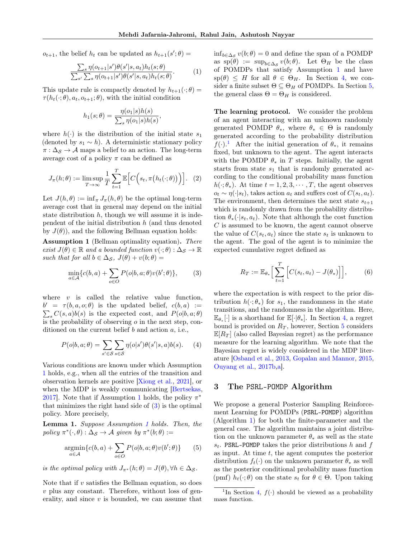$o_{t+1}$ , the belief  $h_t$  can be updated as  $h_{t+1}(s';\theta) =$ 

<span id="page-2-3"></span>
$$
\frac{\sum_{s} \eta(o_{t+1}|s')\theta(s'|s, a_t)h_t(s; \theta)}{\sum_{s'} \sum_{s} \eta(o_{t+1}|s')\theta(s'|s, a_t)h_t(s; \theta)}.
$$
 (1)

This update rule is compactly denoted by  $h_{t+1}(\cdot; \theta) =$  $\tau(h_t(\cdot;\theta), a_t, o_{t+1}; \theta)$ , with the initial condition

$$
h_1(s; \theta) = \frac{\eta(o_1|s)h(s)}{\sum_s \eta(o_1|s)h(s)},
$$

where  $h(\cdot)$  is the distribution of the initial state  $s_1$ (denoted by  $s_1 \sim h$ ). A deterministic stationary policy  $\pi : \Delta_S \to A$  maps a belief to an action. The long-term average cost of a policy  $\pi$  can be defined as

$$
J_{\pi}(h; \theta) := \limsup_{T \to \infty} \frac{1}{T} \sum_{t=1}^{T} \mathbb{E}\Big[C\Big(s_t, \pi\big(h_t(\cdot; \theta)\big)\Big)\Big]. \tag{2}
$$

Let  $J(h, \theta) := \inf_{\pi} J_{\pi}(h, \theta)$  be the optimal long-term average cost that in general may depend on the initial state distribution  $h$ , though we will assume it is independent of the initial distribution  $h$  (and thus denoted by  $J(\theta)$ , and the following Bellman equation holds:

<span id="page-2-0"></span>**Assumption 1** (Bellman optimality equation). There exist  $J(\theta) \in \mathbb{R}$  and a bounded function  $v(\cdot; \theta) : \Delta_{\mathcal{S}} \to \mathbb{R}$ such that for all  $b \in \Delta_{\mathcal{S}}$ ,  $J(\theta) + v(b; \theta) =$ 

<span id="page-2-1"></span>
$$
\min_{a \in \mathcal{A}} \{c(b, a) + \sum_{o \in O} P(o|b, a; \theta)v(b'; \theta)\},\tag{3}
$$

where  $v$  is called the relative value function,  $b' = \tau(b, a, o; \theta)$  is the updated belief,  $c(b, a) :=$  $\sum_{s} C(s, a) b(s)$  is the expected cost, and  $P(o|b, a; \theta)$ is the probability of observing  $o$  in the next step, conditioned on the current belief b and action a, i.e.,

$$
P(o|b, a; \theta) = \sum_{s' \in \mathcal{S}} \sum_{s \in \mathcal{S}} \eta(o|s')\theta(s'|s, a)b(s). \tag{4}
$$

Various conditions are known under which Assumption [1](#page-2-0) holds, e.g., when all the entries of the transition and observation kernels are positive [\[Xiong et al.,](#page-10-11) [2021\]](#page-10-11), or when the MDP is weakly communicating [\[Bertsekas,](#page-8-11) [2017\]](#page-8-11). Note that if Assumption [1](#page-2-0) holds, the policy  $\pi^*$ that minimizes the right hand side of  $(3)$  is the optimal policy. More precisely,

<span id="page-2-5"></span>Lemma 1. Suppose Assumption [1](#page-2-0) holds. Then, the policy  $\pi^*(\cdot, \theta) : \Delta_{\mathcal{S}} \to \mathcal{A}$  given by  $\pi^*(b; \theta) :=$ 

<span id="page-2-4"></span>
$$
\underset{a \in \mathcal{A}}{\operatorname{argmin}} \{c(b, a) + \sum_{o \in O} P(o|b, a; \theta)v(b'; \theta)\} \tag{5}
$$

is the optimal policy with  $J_{\pi^*}(h; \theta) = J(\theta), \forall h \in \Delta_{\mathcal{S}}$ .

Note that if  $v$  satisfies the Bellman equation, so does  $v$  plus any constant. Therefore, without loss of generality, and since  $v$  is bounded, we can assume that

 $\inf_{b\in\Delta_{\mathcal{S}}} v(b;\theta) = 0$  and define the span of a POMDP as  $\text{sp}(\theta) := \sup_{b \in \Delta_{\mathcal{S}}} v(b; \theta)$ . Let  $\Theta_H$  be the class of POMDPs that satisfy Assumption [1](#page-2-0) and have  $\text{sp}(\theta) \leq H$  for all  $\theta \in \Theta_H$ . In Section [4,](#page-3-0) we consider a finite subset  $\Theta \subseteq \Theta_H$  of POMDPs. In Section [5,](#page-5-0) the general class  $\Theta = \Theta_H$  is considered.

The learning protocol. We consider the problem of an agent interacting with an unknown randomly generated POMDP  $\theta_*$ , where  $\theta_* \in \Theta$  is randomly generated according to the probability distribution  $f(\cdot)$ <sup>[1](#page-2-2)</sup> After the initial generation of  $\theta_*$ , it remains fixed, but unknown to the agent. The agent interacts with the POMDP  $\theta_*$  in T steps. Initially, the agent starts from state  $s_1$  that is randomly generated according to the conditional probability mass function  $h(\cdot; \theta_*)$ . At time  $t = 1, 2, 3, \cdots, T$ , the agent observes  $o_t \sim \eta(\cdot|s_t)$ , takes action  $a_t$  and suffers cost of  $C(s_t, a_t)$ . The environment, then determines the next state  $s_{t+1}$ which is randomly drawn from the probability distribution  $\theta_*(\cdot|s_t, a_t)$ . Note that although the cost function C is assumed to be known, the agent cannot observe the value of  $C(s_t, a_t)$  since the state  $s_t$  is unknown to the agent. The goal of the agent is to minimize the expected cumulative regret defined as

$$
R_T := \mathbb{E}_{\theta_*} \Big[ \sum_{t=1}^T \Big[ C(s_t, a_t) - J(\theta_*) \Big] \Big], \qquad (6)
$$

where the expectation is with respect to the prior distribution  $h(\cdot; \theta_*)$  for  $s_1$ , the randomness in the state transitions, and the randomness in the algorithm. Here,  $\mathbb{E}_{\theta_*}[\cdot]$  is a shorthand for  $\mathbb{E}[\cdot|\theta_*]$ . In Section [4,](#page-3-0) a regret bound is provided on  $R_T$ , however, Section [5](#page-5-0) considers  $\mathbb{E}[R_T]$  (also called Bayesian regret) as the performance measure for the learning algorithm. We note that the Bayesian regret is widely considered in the MDP literature [\[Osband et al.,](#page-9-6) [2013,](#page-9-6) [Gopalan and Mannor,](#page-9-8) [2015,](#page-9-8) [Ouyang et al.,](#page-9-1) [2017b,](#page-9-1)[a\]](#page-9-14).

### 3 The PSRL-POMDP Algorithm

We propose a general Posterior Sampling Reinforcement Learning for POMDPs (PSRL-POMDP) algorithm (Algorithm [1\)](#page-3-1) for both the finite-parameter and the general case. The algorithm maintains a joint distribution on the unknown parameter  $\theta_*$  as well as the state  $s_t$ . PSRL-POMDP takes the prior distributions h and f as input. At time  $t$ , the agent computes the posterior distribution  $f_t(\cdot)$  on the unknown parameter  $\theta_*$  as well as the posterior conditional probability mass function (pmf)  $h_t(\cdot; \theta)$  on the state  $s_t$  for  $\theta \in \Theta$ . Upon taking

<span id="page-2-2"></span><sup>&</sup>lt;sup>1</sup>In Section [4,](#page-3-0)  $f(\cdot)$  should be viewed as a probability mass function.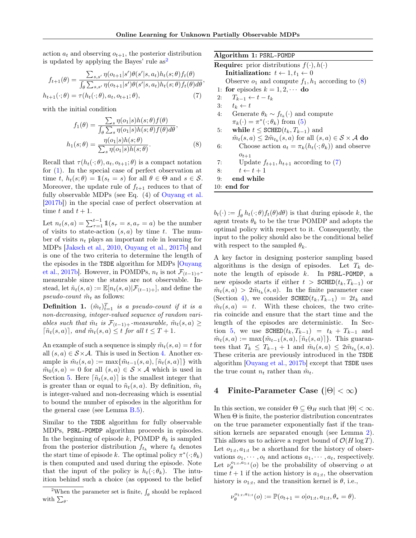action  $a_t$  and observing  $o_{t+1}$ , the posterior distribution is updated by applying the Bayes' rule  $as<sup>2</sup>$  $as<sup>2</sup>$  $as<sup>2</sup>$ 

$$
f_{t+1}(\theta) = \frac{\sum_{s,s'} \eta(o_{t+1}|s')\theta(s'|s,a_t)h_t(s;\theta)f_t(\theta)}{\int_{\theta}\sum_{s,s'} \eta(o_{t+1}|s')\theta(s'|s,a_t)h_t(s;\theta)f_t(\theta)d\theta},
$$

$$
h_{t+1}(\cdot;\theta) = \tau(h_t(\cdot;\theta),a_t,o_{t+1};\theta),
$$
(7)

with the initial condition

$$
f_1(\theta) = \frac{\sum_s \eta(o_1|s)h(s;\theta)f(\theta)}{\int_{\theta} \sum_s \eta(o_1|s)h(s;\theta)f(\theta)d\theta},
$$

$$
h_1(s;\theta) = \frac{\eta(o_1|s)h(s;\theta)}{\sum_s \eta(o_1|s)h(s;\theta)}.
$$
(8)

Recall that  $\tau(h_t(\cdot;\theta), a_t, o_{t+1}; \theta)$  is a compact notation for [\(1\)](#page-2-3). In the special case of perfect observation at time t,  $h_t(s; \theta) = \mathbb{1}(s_t = s)$  for all  $\theta \in \Theta$  and  $s \in \mathcal{S}$ . Moreover, the update rule of  $f_{t+1}$  reduces to that of fully observable MDPs (see Eq. (4) of [Ouyang et al.](#page-9-1) [\[2017b\]](#page-9-1)) in the special case of perfect observation at time t and  $t + 1$ .

Let  $n_t(s, a) = \sum_{\tau=1}^{t-1} 1\!\!1(s_{\tau} = s, a_{\tau} = a)$  be the number of visits to state-action  $(s, a)$  by time t. The number of visits  $n_t$  plays an important role in learning for MDPs [\[Jaksch et al.,](#page-9-0) [2010,](#page-9-0) [Ouyang et al.,](#page-9-1) [2017b\]](#page-9-1) and is one of the two criteria to determine the length of the episodes in the TSDE algorithm for MDPs [\[Ouyang](#page-9-1) [et al.,](#page-9-1) [2017b\]](#page-9-1). However, in POMDPs,  $n_t$  is not  $\mathcal{F}_{(t-1)+}$ measurable since the states are not observable. Instead, let  $\tilde{n}_t(s, a) := \mathbb{E}[n_t(s, a)|\mathcal{F}_{(t-1)+}]$ , and define the pseudo-count  $\tilde{m}_t$  as follows:

**Definition 1.**  $(\tilde{m}_t)_{t=1}^T$  is a pseudo-count if it is a non-decreasing, integer-valued sequence of random variables such that  $\tilde{m}_t$  is  $\mathcal{F}_{(t-1)+}$ -measurable,  $\tilde{m}_t(s, a) \geq$  $\lceil \tilde{n}_t(s, a) \rceil$ , and  $\tilde{m}_t(s, a) \leq t$  for all  $t \leq T + 1$ .

An example of such a sequence is simply  $\tilde{m}_t(s, a) = t$  for all  $(s, a) \in S \times A$ . This is used in Section [4.](#page-3-0) Another example is  $\tilde{m}_t(s, a) := \max{\{\tilde{m}_{t-1}(s, a), [\tilde{n}_t(s, a)]\}}$  with  $\tilde{m}_0(s, a) = 0$  for all  $(s, a) \in S \times A$  which is used in Section [5.](#page-5-0) Here  $\lceil \tilde{n}_t(s, a) \rceil$  is the smallest integer that is greater than or equal to  $\tilde{n}_t(s, a)$ . By definition,  $\tilde{m}_t$ is integer-valued and non-decreasing which is essential to bound the number of episodes in the algorithm for the general case (see Lemma [B.5\)](#page-17-0).

Similar to the TSDE algorithm for fully observable MDPs, PSRL-POMDP algorithm proceeds in episodes. In the beginning of episode k, POMDP  $\theta_k$  is sampled from the posterior distribution  $f_{t_k}$  where  $t_k$  denotes the start time of episode k. The optimal policy  $\pi^*(\cdot; \theta_k)$ is then computed and used during the episode. Note that the input of the policy is  $h_t(\cdot; \theta_k)$ . The intuition behind such a choice (as opposed to the belief

<span id="page-3-4"></span><span id="page-3-1"></span>

| Algorithm 1: PSRL-POMDP                                                                             |
|-----------------------------------------------------------------------------------------------------|
| <b>Require:</b> prior distributions $f(\cdot), h(\cdot)$                                            |
| Initialization: $t \leftarrow 1, t_1 \leftarrow 0$                                                  |
| Observe $o_1$ and compute $f_1, h_1$ according to (8)                                               |
| 1: for episodes $k = 1, 2, \cdots$ do                                                               |
| 2: $T_{k-1} \leftarrow t - t_k$                                                                     |
| 3: $t_k \leftarrow t$                                                                               |
| 4: Generate $\theta_k \sim f_{t_k}(\cdot)$ and compute                                              |
| $\pi_k(\cdot) = \pi^*(\cdot;\theta_k)$ from (5)                                                     |
| while $t \leq \text{SCHED}(t_k, T_{k-1})$ and<br>5:                                                 |
| $\tilde{m}_t(s,a) \leq 2\tilde{m}_{t_k}(s,a)$ for all $(s,a) \in \mathcal{S} \times \mathcal{A}$ do |
| Choose action $a_t = \pi_k(h_t(\cdot; \theta_k))$ and observe<br>6:                                 |
| $o_{t+1}$                                                                                           |
| Update $f_{t+1}, h_{t+1}$ according to (7)<br>7:                                                    |
| 8: $t \leftarrow t + 1$                                                                             |
| end while<br>9:                                                                                     |
| $10:$ end for                                                                                       |
|                                                                                                     |

<span id="page-3-3"></span> $b_t(\cdot) := \int_{\theta} h_t(\cdot; \theta) f_t(\theta) d\theta$  is that during episode k, the agent treats  $\theta_k$  to be the true POMDP and adopts the optimal policy with respect to it. Consequently, the input to the policy should also be the conditional belief with respect to the sampled  $\theta_k$ .

A key factor in designing posterior sampling based algorithms is the design of episodes. Let  $T_k$  denote the length of episode k. In PSRL-POMDP, a new episode starts if either  $t > \texttt{SCHED}(t_k, T_{k-1})$  or  $\tilde{m}_t(s, a) > 2\tilde{m}_{t_k}(s, a)$ . In the finite parameter case (Section [4\)](#page-3-0), we consider  $\texttt{SCHED}(t_k, T_{k-1}) = 2t_k$  and  $\tilde{m}_t(s, a) = t$ . With these choices, the two criteria coincide and ensure that the start time and the length of the episodes are deterministic. In Sec-tion [5,](#page-5-0) we use  $\texttt{SCHED}(t_k, T_{k-1}) = t_k + T_{k-1}$  and  $\tilde{m}_t(s, a) := \max{\{\tilde{m}_{t-1}(s, a), [\tilde{n}_t(s, a)]\}}$ . This guarantees that  $T_k \leq T_{k-1} + 1$  and  $\tilde{m}_t(s, a) \leq 2\tilde{m}_{t_k}(s, a)$ . These criteria are previously introduced in the TSDE algorithm [\[Ouyang et al.,](#page-9-1) [2017b\]](#page-9-1) except that TSDE uses the true count  $n_t$  rather than  $\tilde{m}_t$ .

## <span id="page-3-0"></span>4 Finite-Parameter Case  $(|\Theta| < \infty)$

In this section, we consider  $\Theta \subseteq \Theta_H$  such that  $|\Theta| < \infty$ . When  $\Theta$  is finite, the posterior distribution concentrates on the true parameter exponentially fast if the transition kernels are separated enough (see Lemma [2\)](#page-4-0). This allows us to achieve a regret bound of  $\mathcal{O}(H \log T)$ . Let  $o_{1:t}, a_{1:t}$  be a shorthand for the history of observations  $o_1, \dots, o_t$  and actions  $a_1, \dots, a_t$ , respectively. Let  $\nu_{\theta}^{\sigma_{1:t},a_{1:t}}(o)$  be the probability of observing  $o$  at time  $t + 1$  if the action history is  $a_{1:t}$ , the observation history is  $o_{1:t}$ , and the transition kernel is  $\theta$ , i.e.,

$$
\nu_{\theta}^{o_{1:t},a_{1:t}}(o) := \mathbb{P}(o_{t+1} = o|o_{1:t},a_{1:t},\theta_* = \theta).
$$

<span id="page-3-2"></span><sup>&</sup>lt;sup>2</sup>When the parameter set is finite,  $\int_{\theta}$  should be replaced with  $\sum_{\theta}$ .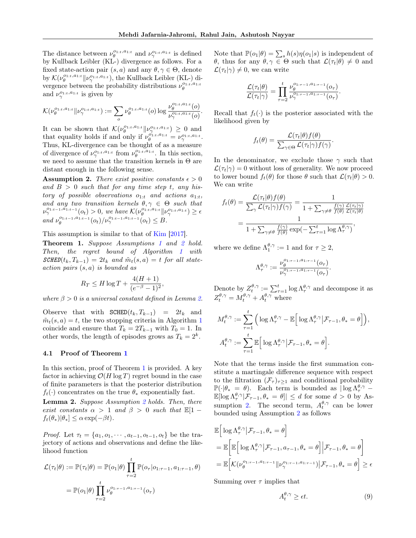The distance between  $\nu_{\theta}^{\sigma_{1:t},a_{1:t}}$  and  $\nu_{\gamma}^{\sigma_{1:t},a_{1:t}}$  is defined by Kullback Leibler (KL-) divergence as follows. For a fixed state-action pair  $(s, a)$  and any  $\theta, \gamma \in \Theta$ , denote by  $\mathcal{K}(\nu_{\theta}^{o_{1:t},a_{1:t}}\|\nu_{\gamma}^{o_{1:t},a_{1:t}}),$  the Kullback Leibler (KL-) divergence between the probability distributions  $\nu_{\theta}^{o_{1:t},a_{1:t}}$ and  $\nu_{\gamma}^{\sigma_{1:t},a_{1:t}}$  is given by

$$
\mathcal{K}(\nu_{\theta}^{\sigma_{1:t},a_{1:t}}\|\nu_{\gamma}^{\sigma_{1:t},a_{1:t}}):=\sum_{o}\nu_{\theta}^{\sigma_{1:t},a_{1:t}}(o)\log\frac{\nu_{\theta}^{\sigma_{1:t},a_{1:t}}(o)}{\nu_{\gamma}^{\sigma_{1:t},a_{1:t}}(o)}.
$$

It can be shown that  $\mathcal{K}(\nu_{\theta}^{o_{1:t},a_{1:t}}\|\nu_{\gamma}^{o_{1:t},a_{1:t}}) \geq 0$  and that equality holds if and only if  $\nu_{\theta}^{\varphi'_{1:t},a_{1:t}} = \nu_{\gamma}^{\varphi_{1:t},a_{1:t}}$ . Thus, KL-divergence can be thought of as a measure of divergence of  $\nu_{\gamma}^{\omega_{1:t},a_{1:t}}$  from  $\nu_{\theta}^{\omega_{1:t},a_{1:t}}$ . In this section, we need to assume that the transition kernels in  $\Theta$  are distant enough in the following sense.

<span id="page-4-1"></span>**Assumption 2.** There exist positive constants  $\epsilon > 0$ and  $B > 0$  such that for any time step t, any history of possible observations  $o_{1:t}$  and actions  $a_{1:t}$ , and any two transition kernels  $\theta, \gamma \in \Theta$  such that  $\nu_{\gamma}^{o_{1:t-1},\tilde{a_{1:t-1}}}(o_t) > 0$ , we have  $\mathcal{K}(\nu_{\theta}^{o_{1:t},a_{1:t}}\|\nu_{\gamma}^{o_{1:t},a_{1:t}}) \geq \epsilon$ and  $\nu_{\theta}^{\sigma_{1:t-1},a_{1:t-1}}(o_{t})/\nu_{\gamma}^{\sigma_{1:t-1},a_{1:t-1}}(o_{t}) \leq B.$ 

This assumption is similar to that of [Kim](#page-9-24) [\[2017\]](#page-9-24).

<span id="page-4-2"></span>Theorem [1](#page-2-0). Suppose Assumptions 1 and [2](#page-4-1) hold. Then, the regret bound of Algorithm [1](#page-3-1) with  $\textit{SCHED}(t_k, T_{k-1}) = 2t_k$  and  $\tilde{m}_t(s, a) = t$  for all state $action \ pairs \ (s, a) \ is \ bounded \ as$ 

$$
R_T \le H \log T + \frac{4(H+1)}{(e^{-\beta} - 1)^2},
$$

where  $\beta > 0$  is a universal constant defined in Lemma [2.](#page-4-0)

Observe that with  $SCHED(t_k, T_{k-1}) = 2t_k$  and  $\tilde{m}_t(s, a) = t$ , the two stopping criteria in Algorithm [1](#page-3-1) coincide and ensure that  $T_k = 2T_{k-1}$  with  $T_0 = 1$ . In other words, the length of episodes grows as  $T_k = 2^k$ .

### 4.1 Proof of Theorem [1](#page-4-2)

In this section, proof of Theorem [1](#page-4-2) is provided. A key factor in achieving  $\mathcal{O}(H \log T)$  regret bound in the case of finite parameters is that the posterior distribution  $f_t(\cdot)$  concentrates on the true  $\theta_*$  exponentially fast.

<span id="page-4-0"></span>Lemma [2](#page-4-1). Suppose Assumption 2 holds. Then, there exist constants  $\alpha > 1$  and  $\beta > 0$  such that  $\mathbb{E}[1$  $f_t(\theta_*)|\theta_*] \leq \alpha \exp(-\beta t).$ 

*Proof.* Let  $\tau_t = \{a_1, o_1, \dots, a_{t-1}, o_{t-1}, o_t\}$  be the trajectory of actions and observations and define the likelihood function

$$
\mathcal{L}(\tau_t|\theta) := \mathbb{P}(\tau_t|\theta) = \mathbb{P}(o_1|\theta) \prod_{\tau=2}^t \mathbb{P}(o_\tau|o_{1:\tau-1}, a_{1:\tau-1}, \theta)
$$

$$
= \mathbb{P}(o_1|\theta) \prod_{\tau=2}^t \nu_\theta^{o_{1:\tau-1}, a_{1:\tau-1}}(o_\tau)
$$

Note that  $\mathbb{P}(o_1|\theta) = \sum_s h(s)\eta(o_1|s)$  is independent of θ, thus for any  $θ, γ ∈ Θ$  such that  $\mathcal{L}(\tau_t|\theta) \neq 0$  and  $\mathcal{L}(\tau_t|\gamma) \neq 0$ , we can write

$$
\frac{\mathcal{L}(\tau_t | \theta)}{\mathcal{L}(\tau_t | \gamma)} = \prod_{\tau=2}^t \frac{\nu_{\theta}^{o_{1:\tau-1},a_{1:\tau-1}}(o_\tau)}{\nu_\gamma^{o_{1:\tau-1},a_{1:\tau-1}}(o_\tau)}.
$$

Recall that  $f_t(\cdot)$  is the posterior associated with the likelihood given by

$$
f_t(\theta) = \frac{\mathcal{L}(\tau_t|\theta)f(\theta)}{\sum_{\gamma \in \Theta} \mathcal{L}(\tau_t|\gamma)f(\gamma)}.
$$

In the denominator, we exclude those  $\gamma$  such that  $\mathcal{L}(\tau_t|\gamma) = 0$  without loss of generality. We now proceed to lower bound  $f_t(\theta)$  for those  $\theta$  such that  $\mathcal{L}(\tau_t|\theta) > 0$ . We can write

$$
f_t(\theta) = \frac{\mathcal{L}(\tau_t|\theta)f(\theta)}{\sum_{\gamma}\mathcal{L}(\tau_t|\gamma)f(\gamma)} = \frac{1}{1 + \sum_{\gamma \neq \theta} \frac{f(\gamma)}{f(\theta)} \frac{\mathcal{L}(\tau_t|\gamma)}{\mathcal{L}(\tau_t|\theta)}} = \frac{1}{1 + \sum_{\gamma \neq \theta} \frac{f(\gamma)}{f(\theta)} \exp(-\sum_{\tau=1}^t \log \Lambda_\tau^{\theta,\gamma})},
$$

where we define  $\Lambda_1^{\theta,\gamma} := 1$  and for  $\tau \geq 2$ ,

$$
\Lambda_{\tau}^{\theta,\gamma} := \frac{\nu_{\theta}^{o_{1:\tau-1},a_{1:\tau-1}}(o_{\tau})}{\nu_{\gamma}^{o_{1:\tau-1},a_{1:\tau-1}}(o_{\tau})}.
$$

Denote by  $Z_t^{\theta,\gamma} := \sum_{\tau=1}^t \log \Lambda_\tau^{\theta,\gamma}$  and decompose it as  $Z_t^{\theta,\gamma} = M_t^{\theta,\gamma} + A_t^{\theta,\gamma}$  where

$$
M_t^{\theta,\gamma} := \sum_{\tau=1}^t \Big( \log \Lambda_\tau^{\theta,\gamma} - \mathbb{E} \Big[ \log \Lambda_\tau^{\theta,\gamma} | \mathcal{F}_{\tau-1}, \theta_* = \theta \Big] \Big),
$$
  

$$
A_t^{\theta,\gamma} := \sum_{\tau=1}^t \mathbb{E} \Big[ \log \Lambda_\tau^{\theta,\gamma} | \mathcal{F}_{\tau-1}, \theta_* = \theta \Big].
$$

Note that the terms inside the first summation constitute a martingale difference sequence with respect to the filtration  $(\mathcal{F}_{\tau})_{\tau\geq 1}$  and conditional probability  $\mathbb{P}(\cdot|\theta_* = \theta)$ . Each term is bounded as  $|\log \Lambda_{\tau}^{\theta,\gamma}|$  $\mathbb{E}[\log \Lambda_{\tau}^{\theta,\gamma}|\mathcal{F}_{\tau-1},\theta_* = \theta] \leq d$  for some  $d > 0$  by As-sumption [2.](#page-4-1) The second term,  $A_t^{\theta,\gamma}$  can be lower bounded using Assumption [2](#page-4-1) as follows

$$
\mathbb{E}\Big[\log \Lambda_{\tau}^{\theta,\gamma}\big|\mathcal{F}_{\tau-1},\theta_* = \theta\Big]
$$
\n
$$
= \mathbb{E}\Big[\mathbb{E}\Big[\log \Lambda_{\tau}^{\theta,\gamma}\big|\mathcal{F}_{\tau-1},a_{\tau-1},\theta_* = \theta\Big]\Big|\mathcal{F}_{\tau-1},\theta_* = \theta\Big]
$$
\n
$$
= \mathbb{E}\Big[\mathcal{K}(\nu_{\theta}^{o_{1:\tau-1},a_{1:\tau-1}}\|\nu_{\gamma}^{o_{1:\tau-1},a_{1:\tau-1}})\big|\mathcal{F}_{\tau-1},\theta_* = \theta\Big] \ge \epsilon
$$

Summing over  $\tau$  implies that

<span id="page-4-3"></span>
$$
A_t^{\theta,\gamma} \ge \epsilon t. \tag{9}
$$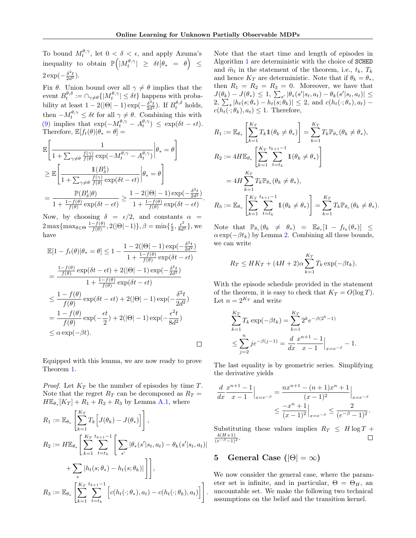.

To bound  $M_t^{\theta,\gamma}$ , let  $0 < \delta < \epsilon$ , and apply Azuma's  $\text{inequality to obtain } \mathbb{P}\Big(|M^{\theta,\gamma}_t| \,\, \geq \,\, \delta t \big| \theta_* \,\, = \,\, \theta \Big) \,\, \leq \,\,$  $2 \exp(-\frac{\delta^2 t}{2d^2}).$ 

Fix  $\theta$ . Union bound over all  $\gamma \neq \theta$  implies that the event  $B_t^{\theta, \delta} := \bigcap_{\gamma \neq \theta} \{|M_t^{\theta, \gamma}| \leq \delta t\}$  happens with probability at least  $1 - 2(|\Theta| - 1) \exp(-\frac{\delta^2 t}{2d^2})$ . If  $B_t^{\theta, \delta}$  holds, then  $-M_t^{\theta,\gamma} \leq \delta t$  for all  $\gamma \neq \theta$ . Combining this with [\(9\)](#page-4-3) implies that  $\exp(-M_t^{\theta,\gamma} - A_t^{\theta,\gamma}) \leq \exp(\delta t - \epsilon t).$ Therefore,  $\mathbb{E}[f_t(\theta)|\theta_* = \theta] =$ 

$$
\begin{aligned} &\mathbb{E}\Bigg[\frac{1}{1+\sum_{\gamma\neq\theta}\frac{f(\gamma)}{f(\theta)}\exp(-M^{\theta,\gamma}_t-A^{\theta,\gamma}_t)}\bigg|\theta_*=\theta\Bigg]\\ &\geq \mathbb{E}\Bigg[\frac{1\left(B^t_{\delta}\right)}{1+\sum_{\gamma\neq\theta}\frac{f(\gamma)}{f(\theta)}\exp(\delta t-\epsilon t)}\bigg|\theta_*=\theta\Bigg]\\ &=\frac{\mathbb{P}(B^t_{\delta}|\theta)}{1+\frac{1-f(\theta)}{f(\theta)}\exp(\delta t-\epsilon t)}\geq \frac{1-2(|\Theta|-1)\exp(-\frac{\delta^2 t}{2d^2})}{1+\frac{1-f(\theta)}{f(\theta)}\exp(\delta t-\epsilon t)}\end{aligned}
$$

Now, by choosing  $\delta = \epsilon/2$ , and constants  $\alpha =$  $2 \max\{\max_{\theta \in \Theta} \frac{1 - f(\theta)}{f(\theta)}\}$  $\frac{-f(\theta)}{f(\theta)}, 2(|\Theta|-1)\}, \beta = \min\{\frac{\epsilon}{2}, \frac{\epsilon^2}{8d^2}\},\$ have

$$
\mathbb{E}[1 - f_t(\theta)|\theta_* = \theta] \le 1 - \frac{1 - 2(|\Theta| - 1) \exp(-\frac{\delta^2 t}{2d^2})}{1 + \frac{1 - f(\theta)}{f(\theta)} \exp(\delta t - \epsilon t)}
$$
\n
$$
= \frac{\frac{1 - f(\theta)}{f(\theta)} \exp(\delta t - \epsilon t) + 2(|\Theta| - 1) \exp(-\frac{\delta^2 t}{2d^2})}{1 + \frac{1 - f(\theta)}{f(\theta)} \exp(\delta t - \epsilon t)}
$$
\n
$$
\le \frac{1 - f(\theta)}{f(\theta)} \exp(\delta t - \epsilon t) + 2(|\Theta| - 1) \exp(-\frac{\delta^2 t}{2d^2})
$$
\n
$$
= \frac{1 - f(\theta)}{f(\theta)} \exp(-\frac{\epsilon t}{2}) + 2(|\Theta| - 1) \exp(-\frac{\epsilon^2 t}{8d^2})
$$
\n
$$
\le \alpha \exp(-\beta t).
$$

Equipped with this lemma, we are now ready to prove Theorem [1.](#page-4-2)

*Proof.* Let  $K_T$  be the number of episodes by time T. Note that the regret  $R_T$  can be decomposed as  $R_T =$  $H\mathbb{E}_{\theta_*}[K_T] + R_1 + R_2 + R_3$  by Lemma [A.1,](#page-11-0) where

$$
R_1 := \mathbb{E}_{\theta_*} \left[ \sum_{k=1}^{K_T} T_k \Big[ J(\theta_k) - J(\theta_*) \Big] \right],
$$
  
\n
$$
R_2 := H \mathbb{E}_{\theta_*} \left[ \sum_{k=1}^{K_T} \sum_{t=t_k}^{t_{k+1}-1} \Big[ \sum_{s'} |\theta_*(s'|s_t, a_t) - \theta_k(s'|s_t, a_t)| + \sum_s |h_t(s; \theta_*) - h_t(s; \theta_k)| \Big] \right],
$$
  
\n
$$
R_3 := \mathbb{E}_{\theta_*} \left[ \sum_{k=1}^{K_T} \sum_{t=t_k}^{t_{k+1}-1} \Big[ c(h_t(\cdot; \theta_*), a_t) - c(h_t(\cdot; \theta_k), a_t) \Big] \right].
$$

Note that the start time and length of episodes in Algorithm [1](#page-3-1) are deterministic with the choice of SCHED and  $\tilde{m}_t$  in the statement of the theorem, i.e.,  $t_k$ ,  $T_k$ and hence  $K_T$  are deterministic. Note that if  $\theta_k = \theta_*$ , then  $R_1 = R_2 = R_3 = 0$ . Moreover, we have that  $J(\theta_k) - J(\theta_*) \leq 1, \sum_{s'} |\theta_*(s'|s_t, a_t) - \theta_k(s'|s_t, a_t)| \leq$  $2, \sum_{s} |h_t(s; \theta_*) - h_t(s; \theta_k)| \leq 2$ , and  $c(h_t(\cdot; \theta_*) , a_t)$  $c(h_t(\cdot; \theta_k), a_t) \leq 1$ . Therefore,

$$
R_1 := \mathbb{E}_{\theta_*} \left[ \sum_{k=1}^{K_T} T_k \mathbb{1}(\theta_k \neq \theta_*) \right] = \sum_{k=1}^{K_T} T_k \mathbb{P}_{\theta_*}(\theta_k \neq \theta_*),
$$
  
\n
$$
R_2 := 4H \mathbb{E}_{\theta_*} \left[ \sum_{k=1}^{K_T} \sum_{t=t_k}^{t_{k+1}-1} \mathbb{1}(\theta_k \neq \theta_*) \right]
$$
  
\n
$$
= 4H \sum_{k=1}^{K_T} T_k \mathbb{P}_{\theta_*}(\theta_k \neq \theta_*),
$$
  
\n
$$
R_3 := \mathbb{E}_{\theta_*} \left[ \sum_{k=1}^{K_T} \sum_{t=t_k}^{t_{k+1}-1} \mathbb{1}(\theta_k \neq \theta_*) \right] = \sum_{k=1}^{K_T} T_k \mathbb{P}_{\theta_*}(\theta_k \neq \theta_*).
$$

Note that  $\mathbb{P}_{\theta_*}(\theta_k \neq \theta_*) = \mathbb{E}_{\theta_*}[1 - f_{t_k}(\theta_*)] \leq$  $\alpha \exp(-\beta t_k)$  by Lemma [2.](#page-4-0) Combining all these bounds, we can write

$$
R_T \leq HK_T + (4H+2)\alpha \sum_{k=1}^{K_T} T_k \exp(-\beta t_k).
$$

With the episode schedule provided in the statement of the theorem, it is easy to check that  $K_T = O(\log T)$ . Let  $n = 2^{K_T}$  and write

$$
\sum_{k=1}^{K_T} T_k \exp(-\beta t_k) = \sum_{k=1}^{K_T} 2^k e^{-\beta (2^k - 1)}
$$
  
 
$$
\leq \sum_{j=2}^n j e^{-\beta (j-1)} = \frac{d}{dx} \frac{x^{n+1} - 1}{x - 1} \Big|_{x = e^{-\beta}} - 1.
$$

The last equality is by geometric series. Simplifying the derivative yields

$$
\frac{d}{dx} \frac{x^{n+1} - 1}{x - 1} \Big|_{x = e^{-\beta}} = \frac{nx^{n+1} - (n+1)x^n + 1}{(x - 1)^2} \Big|_{x = e^{-\beta}}
$$

$$
\leq \frac{-x^n + 1}{(x - 1)^2} \Big|_{x = e^{-\beta}} \leq \frac{2}{(e^{-\beta} - 1)^2}.
$$

Substituting these values implies  $R_T \leq H \log T +$  $\frac{4(H+1)}{(e^{-\beta}-1)^2}$ .  $\Box$ 

# <span id="page-5-0"></span>5 General Case  $(|\Theta| = \infty)$

We now consider the general case, where the parameter set is infinite, and in particular,  $\Theta = \Theta_H$ , an uncountable set. We make the following two technical assumptions on the belief and the transition kernel.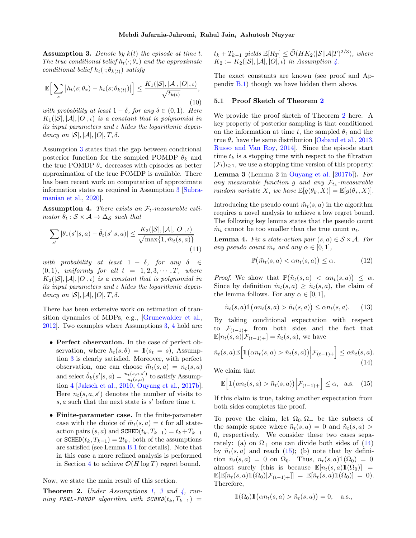<span id="page-6-0"></span>**Assumption 3.** Denote by  $k(t)$  the episode at time t. The true conditional belief  $h_t(\cdot; \theta_*)$  and the approximate conditional belief  $h_t(\cdot; \theta_{k(t)})$  satisfy

<span id="page-6-7"></span>
$$
\mathbb{E}\Big[\sum_{s}|h_t(s;\theta_*) - h_t(s;\theta_{k(t)})|\Big] \le \frac{K_1(|\mathcal{S}|,|\mathcal{A}|,|\mathcal{O}|, \iota)}{\sqrt{t_{k(t)}}},\tag{10}
$$

with probability at least  $1 - \delta$ , for any  $\delta \in (0, 1)$ . Here  $K_1(|\mathcal{S}|, |\mathcal{A}|, |O|, \iota)$  is a constant that is polynomial in its input parameters and ι hides the logarithmic dependency on  $|\mathcal{S}|, |\mathcal{A}|, |O|, T, \delta$ .

Assumption [3](#page-6-0) states that the gap between conditional posterior function for the sampled POMDP  $\theta_k$  and the true POMDP  $\theta_*$  decreases with episodes as better approximation of the true POMDP is available. There has been recent work on computation of approximate information states as required in Assumption [3](#page-6-0) [\[Subra](#page-10-12)[manian et al.,](#page-10-12) [2020\]](#page-10-12).

<span id="page-6-1"></span>**Assumption 4.** There exists an  $\mathcal{F}_t$ -measurable estimator  $\theta_t : \mathcal{S} \times \mathcal{A} \rightarrow \Delta_{\mathcal{S}}$  such that

$$
\sum_{s'} |\theta_*(s'|s, a) - \hat{\theta}_t(s'|s, a)| \le \frac{K_2(|\mathcal{S}|, |\mathcal{A}|, |O|, \iota)}{\sqrt{\max\{1, \tilde{m}_t(s, a)\}}}
$$
(11)

with probability at least  $1 - \delta$ , for any  $\delta \in$  $(0, 1)$ , uniformly for all  $t = 1, 2, 3, \cdots, T$ , where  $K_2(|\mathcal{S}|, |\mathcal{A}|, |O|, \iota)$  is a constant that is polynomial in its input parameters and ι hides the logarithmic dependency on  $|S|, |A|, |O|, T, \delta$ .

There has been extensive work on estimation of transition dynamics of MDPs, e.g., [\[Grunewalder et al.,](#page-9-25) [2012\]](#page-9-25). Two examples where Assumptions [3,](#page-6-0) [4](#page-6-1) hold are:

- Perfect observation. In the case of perfect observation, where  $h_t(s; \theta) = \mathbb{1}(s_t = s)$ , Assumption [3](#page-6-0) is clearly satisfied. Moreover, with perfect observation, one can choose  $\tilde{m}_t(s, a) = n_t(s, a)$ and select  $\hat{\theta}_k(s' | s, a) = \frac{n_t(s, a, s')}{n_t(s, a)}$  $\frac{t^{(s,a,s)}}{n_t(s,a)}$  to satisfy Assumption [4](#page-6-1) [\[Jaksch et al.,](#page-9-0) [2010,](#page-9-0) [Ouyang et al.,](#page-9-1) [2017b\]](#page-9-1). Here  $n_t(s, a, s')$  denotes the number of visits to  $s, a$  such that the next state is  $s'$  before time t.
- Finite-parameter case. In the finite-parameter case with the choice of  $\tilde{m}_t(s, a) = t$  for all stateaction pairs  $(s, a)$  and SCHED $(t_k, T_{k-1}) = t_k + T_{k-1}$ or  $\texttt{SCHED}(t_k, T_{k=1}) = 2t_k$ , both of the assumptions are satisfied (see Lemma [B.1](#page-13-0) for details). Note that in this case a more refined analysis is performed in Section [4](#page-3-0) to achieve  $\mathcal{O}(H \log T)$  regret bound.

Now, we state the main result of this section.

<span id="page-6-2"></span>**Theorem 2.** Under Assumptions [1,](#page-2-0) [3](#page-6-0) and  $\frac{1}{4}$ , run- $\emph{ning PSRL-POMDP algorithm with SCHED}(t_k, T_{k-1}) =$   $t_k + T_{k-1}$  yields  $\mathbb{E}[R_T] \le \tilde{\mathcal{O}}(HK_2(|\mathcal{S}||\mathcal{A}|T)^{2/3}),$  where  $K_2 := K_2(|\mathcal{S}|, |\mathcal{A}|, |O|, \iota)$  in Assumption [4.](#page-6-1)

The exact constants are known (see proof and Appendix [B.1\)](#page-13-1) though we have hidden them above.

### 5.1 Proof Sketch of Theorem [2](#page-6-2)

We provide the proof sketch of Theorem [2](#page-6-2) here. A key property of posterior sampling is that conditioned on the information at time t, the sampled  $\theta_t$  and the true  $\theta_*$  have the same distribution [\[Osband et al.,](#page-9-6) [2013,](#page-9-6) [Russo and Van Roy,](#page-9-26) [2014\]](#page-9-26). Since the episode start time  $t_k$  is a stopping time with respect to the filtration  $(\mathcal{F}_t)_{t\geq 1}$ , we use a stopping time version of this property: Lemma 3 (Lemma 2 in [Ouyang et al.](#page-9-1) [\[2017b\]](#page-9-1)). For

<span id="page-6-5"></span>any measurable function g and any  $\mathcal{F}_{t_k}$ -measurable random variable X, we have  $\mathbb{E}[g(\theta_k, X)] = \mathbb{E}[g(\theta_*, X)].$ 

Introducing the pseudo count  $\tilde{m}_t(s, a)$  in the algorithm requires a novel analysis to achieve a low regret bound. The following key lemma states that the pseudo count  $\tilde{m}_t$  cannot be too smaller than the true count  $n_t$ .

<span id="page-6-8"></span><span id="page-6-6"></span>**Lemma 4.** Fix a state-action pair  $(s, a) \in S \times A$ . For any pseudo count  $\tilde{m}_t$  and any  $\alpha \in [0, 1],$ 

$$
\mathbb{P}\big(\tilde{m}_t(s,a) < \alpha n_t(s,a)\big) \le \alpha. \tag{12}
$$

*Proof.* We show that  $\mathbb{P}(\tilde{n}_t(s, a) < \alpha n_t(s, a)) \leq \alpha$ . Since by definition  $\tilde{m}_t(s, a) \geq \tilde{n}_t(s, a)$ , the claim of the lemma follows. For any  $\alpha \in [0, 1]$ ,

$$
\tilde{n}_t(s, a) \mathbb{1}(\alpha n_t(s, a) > \tilde{n}_t(s, a)) \leq \alpha n_t(s, a). \tag{13}
$$

By taking conditional expectation with respect to  $\mathcal{F}_{(t-1)+}$  from both sides and the fact that  $\mathbb{E}[n_t(s,a)|\mathcal{F}_{(t-1)+}] = \tilde{n}_t(s,a)$ , we have

<span id="page-6-3"></span>
$$
\tilde{n}_t(s, a) \mathbb{E}\Big[\mathbb{1}\big(\alpha n_t(s, a) > \tilde{n}_t(s, a)\big)\Big|\mathcal{F}_{(t-1)+}\Big] \leq \alpha \tilde{n}_t(s, a). \tag{14}
$$

We claim that

<span id="page-6-4"></span>
$$
\mathbb{E}\Big[\mathbb{1}\big(\alpha n_t(s,a) > \tilde{n}_t(s,a)\big)\Big|\mathcal{F}_{(t-1)+}\Big] \leq \alpha, \quad \text{a.s.} \quad (15)
$$

If this claim is true, taking another expectation from both sides completes the proof.

To prove the claim, let  $\Omega_0, \Omega_+$  be the subsets of the sample space where  $\tilde{n}_t(s, a) = 0$  and  $\tilde{n}_t(s, a)$ 0, respectively. We consider these two cases separately: (a) on  $\Omega_{+}$  one can divide both sides of [\(14\)](#page-6-3) by  $\tilde{n}_t(s, a)$  and reach [\(15\)](#page-6-4); (b) note that by definition  $\tilde{n}_t(s, a) = 0$  on  $\Omega_0$ . Thus,  $n_t(s, a) \mathbb{1}(\Omega_0) = 0$ almost surely (this is because  $\mathbb{E}[n_t(s,a)1(\Omega_0)] =$  $\mathbb{E}[\mathbb{E}[n_t(s,a)\mathbb{1}(\Omega_0)|\mathcal{F}_{(t-1)+}]] = \mathbb{E}[\tilde{n}_t(s,a)\mathbb{1}(\Omega_0)] = 0.$ Therefore,

$$
\mathbb{1}(\Omega_0)\mathbb{1}\big(\alpha n_t(s,a) > \tilde{n}_t(s,a)\big) = 0, \quad \text{a.s.},
$$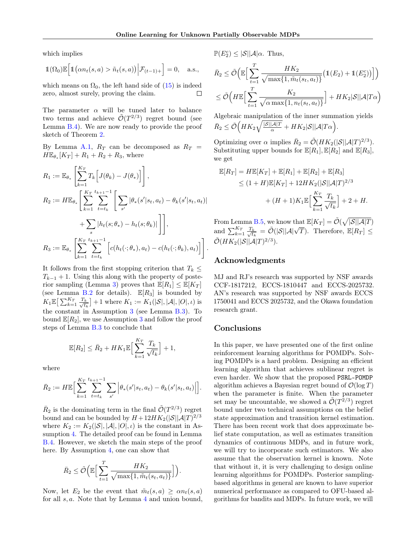which implies

$$
\mathbb{1}(\Omega_0)\mathbb{E}\Big[\mathbb{1}(\alpha n_t(s,a) > \tilde{n}_t(s,a))\Big|\mathcal{F}_{(t-1)+}\Big] = 0, \quad \text{a.s.},
$$

which means on  $\Omega_0$ , the left hand side of  $(15)$  is indeed zero, almost surely, proving the claim.  $\Box$ 

The parameter  $\alpha$  will be tuned later to balance two terms and achieve  $\tilde{\mathcal{O}}(T^{2/3})$  regret bound (see Lemma [B.4\)](#page-15-0). We are now ready to provide the proof sketch of Theorem [2.](#page-6-2)

By Lemma [A.1,](#page-11-0)  $R_T$  can be decomposed as  $R_T =$  $H\mathbb{E}_{\theta_*}[K_T] + R_1 + R_2 + R_3$ , where

$$
R_1 := \mathbb{E}_{\theta_*} \left[ \sum_{k=1}^{K_T} T_k \Big[ J(\theta_k) - J(\theta_*) \Big] \right],
$$
  
\n
$$
R_2 := H \mathbb{E}_{\theta_*} \left[ \sum_{k=1}^{K_T} \sum_{t=t_k}^{t_{k+1}-1} \Big[ \sum_{s'} |\theta_*(s'|s_t, a_t) - \theta_k(s'|s_t, a_t)| + \sum_s |h_t(s; \theta_*) - h_t(s; \theta_k)| \Big] \right],
$$
  
\n
$$
R_3 := \mathbb{E}_{\theta_*} \left[ \sum_{k=1}^{K_T} \sum_{t=t_k}^{t_{k+1}-1} \Big[ c(h_t(\cdot; \theta_*), a_t) - c(h_t(\cdot; \theta_k), a_t) \Big] \right].
$$

It follows from the first stopping criterion that  $T_k \leq$  $T_{k-1}$  + 1. Using this along with the property of poste-rior sampling (Lemma [3\)](#page-6-5) proves that  $\mathbb{E}[R_1] \leq \mathbb{E}[K_T]$ (see Lemma [B.2](#page-14-0) for details).  $\mathbb{E}[R_3]$  is bounded by  $K_1\mathbb{E}\big[\sum_{k=1}^{K_T}\frac{T_k}{\sqrt{t_k}}$  $\left[\frac{k}{t_k}\right]+1$  where  $K_1 := K_1(|\mathcal{S}|, |\mathcal{A}|, |O|, \iota)$  is the constant in Assumption [3](#page-6-0) (see Lemma [B.3\)](#page-14-1). To bound  $\mathbb{E}[R_2]$ , we use Assumption [3](#page-6-0) and follow the proof steps of Lemma [B.3](#page-14-1) to conclude that

$$
\mathbb{E}[R_2] \leq \bar{R}_2 + HK_1 \mathbb{E}\Big[\sum_{k=1}^{K_T} \frac{T_k}{\sqrt{t_k}}\Big] + 1,
$$

where

$$
\bar{R}_2 := H \mathbb{E} \Big[ \sum_{k=1}^{K_T} \sum_{t=t_k}^{t_{k+1}-1} \sum_{s'} \Big| \theta_*(s' | s_t, a_t) - \theta_k(s' | s_t, a_t) \Big| \Big].
$$

 $\overline{R}_2$  is the dominating term in the final  $\tilde{\mathcal{O}}(T^{2/3})$  regret bound and can be bounded by  $H + 12HK_2(|\mathcal{S}||\mathcal{A}|T)^{2/3}$ where  $K_2 := K_2(|\mathcal{S}|, |\mathcal{A}|, |O|, \iota)$  is the constant in Assumption [4.](#page-6-1) The detailed proof can be found in Lemma [B.4.](#page-15-0) However, we sketch the main steps of the proof here. By Assumption [4,](#page-6-1) one can show that

$$
\bar{R}_2 \le \tilde{\mathcal{O}}\Big(\mathbb{E}\Big[\sum_{t=1}^T \frac{HK_2}{\sqrt{\max\{1, \tilde{m}_t(s_t, a_t)\}}}\Big]\Big).
$$

Now, let  $E_2$  be the event that  $\tilde{m}_t(s, a) \geq \alpha n_t(s, a)$ for all s, a. Note that by Lemma [4](#page-6-6) and union bound,  $\mathbb{P}(E_2^c) \leq |\mathcal{S}| |\mathcal{A}| \alpha$ . Thus,

$$
\bar{R}_2 \leq \tilde{\mathcal{O}}\Big(\mathbb{E}\Big[\sum_{t=1}^T \frac{HK_2}{\sqrt{\max\{1, \tilde{m}_t(s_t, a_t)\}}}\big(\mathbb{1}(E_2) + \mathbb{1}(E_2^c)\big)\Big]\Big)
$$
  

$$
\leq \tilde{\mathcal{O}}\Big(H\mathbb{E}\Big[\sum_{t=1}^T \frac{K_2}{\sqrt{\alpha \max\{1, n_t(s_t, a_t)\}}}\Big] + HK_2|\mathcal{S}||\mathcal{A}|T\alpha\Big)
$$

Algebraic manipulation of the inner summation yields  $\bar{R}_2 \leq \tilde{\mathcal{O}} \Big( H K_2 \sqrt{\frac{|\mathcal{S}||\mathcal{A}|T}{\alpha}} + H K_2 |\mathcal{S}||\mathcal{A}|T\alpha \Big).$ 

Optimizing over  $\alpha$  implies  $\bar{R}_2 = \tilde{\mathcal{O}}(HK_2(|\mathcal{S}||\mathcal{A}|T)^{2/3}).$ Substituting upper bounds for  $\mathbb{E}[R_1], \mathbb{E}[R_2]$  and  $\mathbb{E}[R_3],$ we get

$$
\mathbb{E}[R_T] = H\mathbb{E}[K_T] + \mathbb{E}[R_1] + \mathbb{E}[R_2] + \mathbb{E}[R_3] \n\le (1+H)\mathbb{E}[K_T] + 12HK_2(|\mathcal{S}||\mathcal{A}|T)^{2/3} \n+ (H+1)K_1\mathbb{E}\Big[\sum_{k=1}^{K_T} \frac{T_k}{\sqrt{t_k}}\Big] + 2 + H.
$$

From Lemma [B.5,](#page-17-0) we know that  $\mathbb{E}[K_T] = \tilde{\mathcal{O}}(\sqrt{|\mathcal{S}||\mathcal{A}|T})$ and  $\sum_{k=1}^{K_T} \frac{T_k}{\sqrt{t_k}}$  $\frac{\partial L}{\partial t_k} = \tilde{\mathcal{O}}(|\mathcal{S}||\mathcal{A}|\sqrt{T}).$  Therefore,  $\mathbb{E}[R_T] \leq$  $\tilde{\mathcal{O}}(HK_2(|\mathcal{S}||\mathcal{A}|T)^{2/3}).$ 

# Acknowledgments

MJ and RJ's research was supported by NSF awards CCF-1817212, ECCS-1810447 and ECCS-2025732. AN's research was supported by NSF awards ECCS 1750041 and ECCS 2025732, and the Okawa foundation research grant.

### Conclusions

In this paper, we have presented one of the first online reinforcement learning algorithms for POMDPs. Solving POMDPs is a hard problem. Designing an efficient learning algorithm that achieves sublinear regret is even harder. We show that the proposed PSRL-POMDP algorithm achieves a Bayesian regret bound of  $\mathcal{O}(\log T)$ when the parameter is finite. When the parameter set may be uncountable, we showed a  $\tilde{\mathcal{O}}(T^{2/3})$  regret bound under two technical assumptions on the belief state approximation and transition kernel estimation. There has been recent work that does approximate belief state computation, as well as estimates transition dynamics of continuous MDPs, and in future work, we will try to incorporate such estimators. We also assume that the observation kernel is known. Note that without it, it is very challenging to design online learning algorithms for POMDPs. Posterior samplingbased algorithms in general are known to have superior numerical performance as compared to OFU-based algorithms for bandits and MDPs. In future work, we will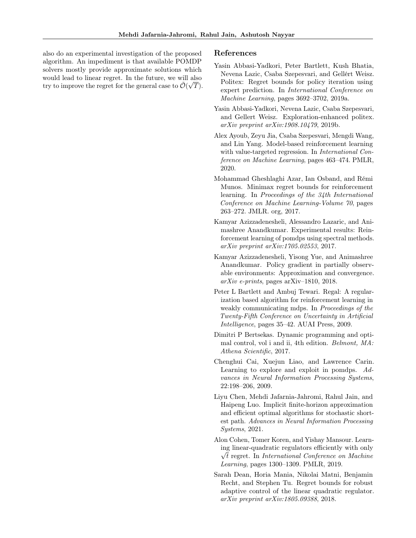also do an experimental investigation of the proposed algorithm. An impediment is that available POMDP solvers mostly provide approximate solutions which would lead to linear regret. In the future, we will also try to improve the regret for the general case to  $\tilde{\mathcal{O}}(\sqrt{T}).$ 

### References

- <span id="page-8-5"></span>Yasin Abbasi-Yadkori, Peter Bartlett, Kush Bhatia, Nevena Lazic, Csaba Szepesvari, and Gellért Weisz. Politex: Regret bounds for policy iteration using expert prediction. In International Conference on Machine Learning, pages 3692–3702, 2019a.
- <span id="page-8-2"></span>Yasin Abbasi-Yadkori, Nevena Lazic, Csaba Szepesvari, and Gellert Weisz. Exploration-enhanced politex. arXiv preprint arXiv:1908.10479, 2019b.
- <span id="page-8-4"></span>Alex Ayoub, Zeyu Jia, Csaba Szepesvari, Mengdi Wang, and Lin Yang. Model-based reinforcement learning with value-targeted regression. In *International Con*ference on Machine Learning, pages 463–474. PMLR, 2020.
- <span id="page-8-1"></span>Mohammad Gheshlaghi Azar, Ian Osband, and Rémi Munos. Minimax regret bounds for reinforcement learning. In Proceedings of the 34th International Conference on Machine Learning-Volume 70, pages 263–272. JMLR. org, 2017.
- <span id="page-8-8"></span>Kamyar Azizzadenesheli, Alessandro Lazaric, and Animashree Anandkumar. Experimental results: Reinforcement learning of pomdps using spectral methods. arXiv preprint arXiv:1705.02553, 2017.
- <span id="page-8-10"></span>Kamyar Azizzadenesheli, Yisong Yue, and Animashree Anandkumar. Policy gradient in partially observable environments: Approximation and convergence.  $arXiv$  e-prints, pages arXiv–1810, 2018.
- <span id="page-8-0"></span>Peter L Bartlett and Ambuj Tewari. Regal: A regularization based algorithm for reinforcement learning in weakly communicating mdps. In Proceedings of the Twenty-Fifth Conference on Uncertainty in Artificial Intelligence, pages 35–42. AUAI Press, 2009.
- <span id="page-8-11"></span>Dimitri P Bertsekas. Dynamic programming and optimal control, vol i and ii, 4th edition. Belmont, MA: Athena Scientific, 2017.
- <span id="page-8-9"></span>Chenghui Cai, Xuejun Liao, and Lawrence Carin. Learning to explore and exploit in pomdps. Advances in Neural Information Processing Systems, 22:198–206, 2009.
- <span id="page-8-3"></span>Liyu Chen, Mehdi Jafarnia-Jahromi, Rahul Jain, and Haipeng Luo. Implicit finite-horizon approximation and efficient optimal algorithms for stochastic shortest path. Advances in Neural Information Processing Systems, 2021.
- <span id="page-8-7"></span>Alon Cohen, Tomer Koren, and Yishay Mansour. Learning linear-quadratic regulators efficiently with only √  $\sqrt{t}$  regret. In *International Conference on Machine* Learning, pages 1300–1309. PMLR, 2019.
- <span id="page-8-6"></span>Sarah Dean, Horia Mania, Nikolai Matni, Benjamin Recht, and Stephen Tu. Regret bounds for robust adaptive control of the linear quadratic regulator. arXiv preprint arXiv:1805.09388, 2018.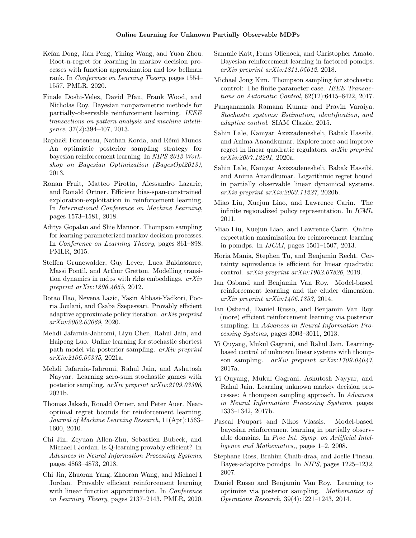- <span id="page-9-12"></span>Kefan Dong, Jian Peng, Yining Wang, and Yuan Zhou. Root-n-regret for learning in markov decision processes with function approximation and low bellman rank. In Conference on Learning Theory, pages 1554– 1557. PMLR, 2020.
- <span id="page-9-22"></span>Finale Doshi-Velez, David Pfau, Frank Wood, and Nicholas Roy. Bayesian nonparametric methods for partially-observable reinforcement learning. IEEE transactions on pattern analysis and machine intelligence, 37(2):394–407, 2013.
- <span id="page-9-7"></span>Raphaël Fonteneau, Nathan Korda, and Rémi Munos. An optimistic posterior sampling strategy for bayesian reinforcement learning. In NIPS 2013 Workshop on Bayesian Optimization (BayesOpt2013), 2013.
- <span id="page-9-2"></span>Ronan Fruit, Matteo Pirotta, Alessandro Lazaric, and Ronald Ortner. Efficient bias-span-constrained exploration-exploitation in reinforcement learning. In International Conference on Machine Learning, pages 1573–1581, 2018.
- <span id="page-9-8"></span>Aditya Gopalan and Shie Mannor. Thompson sampling for learning parameterized markov decision processes. In Conference on Learning Theory, pages 861–898. PMLR, 2015.
- <span id="page-9-25"></span>Steffen Grunewalder, Guy Lever, Luca Baldassarre, Massi Pontil, and Arthur Gretton. Modelling transition dynamics in mdps with rkhs embeddings. arXiv preprint arXiv:1206.4655, 2012.
- <span id="page-9-4"></span>Botao Hao, Nevena Lazic, Yasin Abbasi-Yadkori, Pooria Joulani, and Csaba Szepesvari. Provably efficient adaptive approximate policy iteration. arXiv preprint arXiv:2002.03069, 2020.
- <span id="page-9-9"></span>Mehdi Jafarnia-Jahromi, Liyu Chen, Rahul Jain, and Haipeng Luo. Online learning for stochastic shortest path model via posterior sampling. arXiv preprint arXiv:2106.05335, 2021a.
- <span id="page-9-10"></span>Mehdi Jafarnia-Jahromi, Rahul Jain, and Ashutosh Nayyar. Learning zero-sum stochastic games with posterior sampling. arXiv preprint arXiv:2109.03396, 2021b.
- <span id="page-9-0"></span>Thomas Jaksch, Ronald Ortner, and Peter Auer. Nearoptimal regret bounds for reinforcement learning. Journal of Machine Learning Research, 11(Apr):1563– 1600, 2010.
- <span id="page-9-3"></span>Chi Jin, Zeyuan Allen-Zhu, Sebastien Bubeck, and Michael I Jordan. Is Q-learning provably efficient? In Advances in Neural Information Processing Systems, pages 4863–4873, 2018.
- <span id="page-9-13"></span>Chi Jin, Zhuoran Yang, Zhaoran Wang, and Michael I Jordan. Provably efficient reinforcement learning with linear function approximation. In *Conference* on Learning Theory, pages 2137–2143. PMLR, 2020.
- <span id="page-9-23"></span>Sammie Katt, Frans Oliehoek, and Christopher Amato. Bayesian reinforcement learning in factored pomdps. arXiv preprint arXiv:1811.05612, 2018.
- <span id="page-9-24"></span>Michael Jong Kim. Thompson sampling for stochastic control: The finite parameter case. IEEE Transactions on Automatic Control, 62(12):6415–6422, 2017.
- <span id="page-9-5"></span>Panqanamala Ramana Kumar and Pravin Varaiya. Stochastic systems: Estimation, identification, and adaptive control. SIAM Classic, 2015.
- <span id="page-9-16"></span>Sahin Lale, Kamyar Azizzadenesheli, Babak Hassibi, and Anima Anandkumar. Explore more and improve regret in linear quadratic regulators. arXiv preprint arXiv:2007.12291, 2020a.
- <span id="page-9-17"></span>Sahin Lale, Kamyar Azizzadenesheli, Babak Hassibi, and Anima Anandkumar. Logarithmic regret bound in partially observable linear dynamical systems. arXiv preprint arXiv:2003.11227, 2020b.
- <span id="page-9-20"></span>Miao Liu, Xuejun Liao, and Lawrence Carin. The infinite regionalized policy representation. In ICML, 2011.
- <span id="page-9-21"></span>Miao Liu, Xuejun Liao, and Lawrence Carin. Online expectation maximization for reinforcement learning in pomdps. In IJCAI, pages 1501–1507, 2013.
- <span id="page-9-15"></span>Horia Mania, Stephen Tu, and Benjamin Recht. Certainty equivalence is efficient for linear quadratic control. arXiv preprint arXiv:1902.07826, 2019.
- <span id="page-9-11"></span>Ian Osband and Benjamin Van Roy. Model-based reinforcement learning and the eluder dimension. arXiv preprint arXiv:1406.1853, 2014.
- <span id="page-9-6"></span>Ian Osband, Daniel Russo, and Benjamin Van Roy. (more) efficient reinforcement learning via posterior sampling. In Advances in Neural Information Processing Systems, pages 3003–3011, 2013.
- <span id="page-9-14"></span>Yi Ouyang, Mukul Gagrani, and Rahul Jain. Learningbased control of unknown linear systems with thompson sampling. arXiv preprint arXiv:1709.04047, 2017a.
- <span id="page-9-1"></span>Yi Ouyang, Mukul Gagrani, Ashutosh Nayyar, and Rahul Jain. Learning unknown markov decision processes: A thompson sampling approach. In Advances in Neural Information Processing Systems, pages 1333–1342, 2017b.
- <span id="page-9-19"></span>Pascal Poupart and Nikos Vlassis. Model-based bayesian reinforcement learning in partially observable domains. In Proc Int. Symp. on Artificial Intelligence and Mathematics,, pages 1–2, 2008.
- <span id="page-9-18"></span>Stephane Ross, Brahim Chaib-draa, and Joelle Pineau. Bayes-adaptive pomdps. In NIPS, pages 1225–1232, 2007.
- <span id="page-9-26"></span>Daniel Russo and Benjamin Van Roy. Learning to optimize via posterior sampling. Mathematics of Operations Research, 39(4):1221–1243, 2014.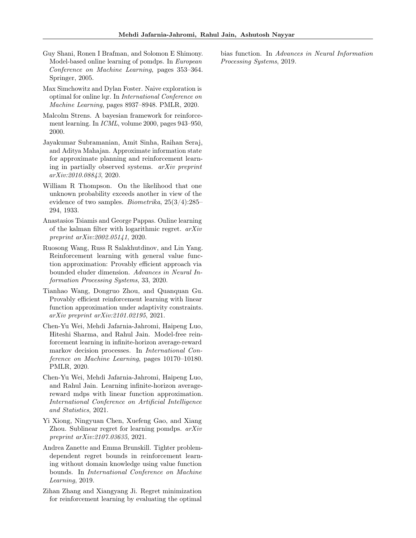- <span id="page-10-10"></span>Guy Shani, Ronen I Brafman, and Solomon E Shimony. Model-based online learning of pomdps. In European Conference on Machine Learning, pages 353–364. Springer, 2005.
- <span id="page-10-8"></span>Max Simchowitz and Dylan Foster. Naive exploration is optimal for online lqr. In International Conference on Machine Learning, pages 8937–8948. PMLR, 2020.
- <span id="page-10-5"></span>Malcolm Strens. A bayesian framework for reinforcement learning. In ICML, volume 2000, pages 943–950, 2000.
- <span id="page-10-12"></span>Jayakumar Subramanian, Amit Sinha, Raihan Seraj, and Aditya Mahajan. Approximate information state for approximate planning and reinforcement learning in partially observed systems. arXiv preprint arXiv:2010.08843, 2020.
- <span id="page-10-4"></span>William R Thompson. On the likelihood that one unknown probability exceeds another in view of the evidence of two samples. *Biometrika*,  $25(3/4)$ :  $285-$ 294, 1933.
- <span id="page-10-9"></span>Anastasios Tsiamis and George Pappas. Online learning of the kalman filter with logarithmic regret. arXiv preprint arXiv:2002.05141, 2020.
- <span id="page-10-6"></span>Ruosong Wang, Russ R Salakhutdinov, and Lin Yang. Reinforcement learning with general value function approximation: Provably efficient approach via bounded eluder dimension. Advances in Neural Information Processing Systems, 33, 2020.
- <span id="page-10-7"></span>Tianhao Wang, Dongruo Zhou, and Quanquan Gu. Provably efficient reinforcement learning with linear function approximation under adaptivity constraints. arXiv preprint arXiv:2101.02195, 2021.
- <span id="page-10-2"></span>Chen-Yu Wei, Mehdi Jafarnia-Jahromi, Haipeng Luo, Hiteshi Sharma, and Rahul Jain. Model-free reinforcement learning in infinite-horizon average-reward markov decision processes. In International Conference on Machine Learning, pages 10170–10180. PMLR, 2020.
- <span id="page-10-3"></span>Chen-Yu Wei, Mehdi Jafarnia-Jahromi, Haipeng Luo, and Rahul Jain. Learning infinite-horizon averagereward mdps with linear function approximation. International Conference on Artificial Intelligence and Statistics, 2021.
- <span id="page-10-11"></span>Yi Xiong, Ningyuan Chen, Xuefeng Gao, and Xiang Zhou. Sublinear regret for learning pomdps. arXiv preprint arXiv:2107.03635, 2021.
- <span id="page-10-1"></span>Andrea Zanette and Emma Brunskill. Tighter problemdependent regret bounds in reinforcement learning without domain knowledge using value function bounds. In International Conference on Machine Learning, 2019.
- <span id="page-10-0"></span>Zihan Zhang and Xiangyang Ji. Regret minimization for reinforcement learning by evaluating the optimal

bias function. In Advances in Neural Information Processing Systems, 2019.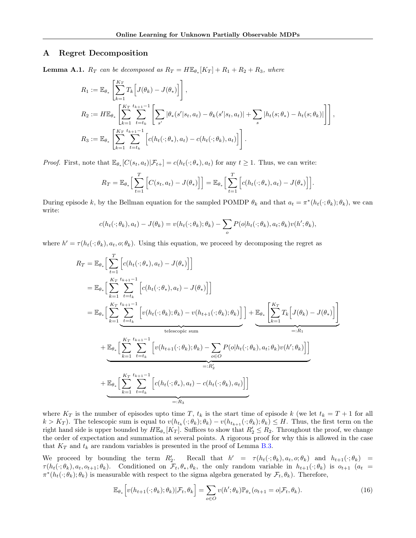### A Regret Decomposition

<span id="page-11-0"></span>**Lemma A.1.**  $R_T$  can be decomposed as  $R_T = H\mathbb{E}_{\theta_*}[K_T] + R_1 + R_2 + R_3$ , where

$$
R_1 := \mathbb{E}_{\theta_*} \left[ \sum_{k=1}^{K_T} T_k \Big[ J(\theta_k) - J(\theta_*) \Big] \right],
$$
  
\n
$$
R_2 := H \mathbb{E}_{\theta_*} \left[ \sum_{k=1}^{K_T} \sum_{t=t_k}^{t_{k+1}-1} \Big[ \sum_{s'} |\theta_*(s'|s_t, a_t) - \theta_k(s'|s_t, a_t)| + \sum_s |h_t(s; \theta_*) - h_t(s; \theta_k)| \Big] \right],
$$
  
\n
$$
R_3 := \mathbb{E}_{\theta_*} \left[ \sum_{k=1}^{K_T} \sum_{t=t_k}^{t_{k+1}-1} \Big[ c(h_t(\cdot; \theta_*), a_t) - c(h_t(\cdot; \theta_k), a_t) \Big] \Big].
$$

*Proof.* First, note that  $\mathbb{E}_{\theta_*}[C(s_t, a_t)|\mathcal{F}_{t+}] = c(h_t(\cdot; \theta_*), a_t)$  for any  $t \geq 1$ . Thus, we can write:

$$
R_T = \mathbb{E}_{\theta_*}\Big[\sum_{t=1}^T \Big[C(s_t, a_t) - J(\theta_*)\Big]\Big] = \mathbb{E}_{\theta_*}\Big[\sum_{t=1}^T \Big[c(h_t(\cdot; \theta_*), a_t) - J(\theta_*)\Big]\Big].
$$

During episode k, by the Bellman equation for the sampled POMDP  $\theta_k$  and that  $a_t = \pi^*(h_t(\cdot; \theta_k); \theta_k)$ , we can write:

$$
c(h_t(\cdot;\theta_k),a_t) - J(\theta_k) = v(h_t(\cdot;\theta_k); \theta_k) - \sum_o P(o|h_t(\cdot;\theta_k),a_t;\theta_k)v(h';\theta_k),
$$

where  $h' = \tau(h_t(\cdot; \theta_k), a_t, o; \theta_k)$ . Using this equation, we proceed by decomposing the regret as

$$
R_T = \mathbb{E}_{\theta_*} \Big[ \sum_{t=1}^T \Big[ c(h_t(\cdot; \theta_*), a_t) - J(\theta_*) \Big] \Big]
$$
  
\n
$$
= \mathbb{E}_{\theta_*} \Big[ \sum_{k=1}^{K_T} \sum_{t=t_k}^{t_{k+1}-1} \Big[ c(h_t(\cdot; \theta_*), a_t) - J(\theta_*) \Big] \Big]
$$
  
\n
$$
= \mathbb{E}_{\theta_*} \Big[ \sum_{k=1}^{K_T} \sum_{\substack{t=t_k}}^{t_{k+1}-1} \Big[ v(h_t(\cdot; \theta_k); \theta_k) - v(h_{t+1}(\cdot; \theta_k); \theta_k) \Big] \Big] + \mathbb{E}_{\theta_*} \Big[ \sum_{k=1}^{K_T} T_k \Big[ J(\theta_k) - J(\theta_*) \Big] \Big]
$$
  
\n
$$
+ \underbrace{\mathbb{E}_{\theta_*} \Big[ \sum_{k=1}^{K_T} \sum_{t=t_k}^{t_{k+1}-1} \Big[ v(h_{t+1}(\cdot; \theta_k); \theta_k) - \sum_{o \in O} P(o|h_t(\cdot; \theta_k), a_t; \theta_k) v(h'; \theta_k) \Big] \Big]}_{=:R_1}
$$
  
\n
$$
+ \underbrace{\mathbb{E}_{\theta_*} \Big[ \sum_{k=1}^{K_T} \sum_{t=t_k}^{t_{k+1}-1} \Big[ c(h_t(\cdot; \theta_*), a_t) - c(h_t(\cdot; \theta_k), a_t) \Big] \Big]}
$$
  
\n
$$
=:R_3
$$

where  $K_T$  is the number of episodes upto time T,  $t_k$  is the start time of episode k (we let  $t_k = T + 1$  for all  $k > K_T$ ). The telescopic sum is equal to  $v(h_{t_k}(\cdot; \theta_k); \theta_k) - v(h_{t_{k+1}}(\cdot; \theta_k); \theta_k) \leq H$ . Thus, the first term on the right hand side is upper bounded by  $H\mathbb{E}_{\theta_*}[K_T]$ . Suffices to show that  $R'_2 \leq R_2$ . Throughout the proof, we change the order of expectation and summation at several points. A rigorous proof for why this is allowed in the case that  $K_T$  and  $t_k$  are random variables is presented in the proof of Lemma [B.3.](#page-14-1)

We proceed by bounding the term  $R'_2$ . Recall that  $h' = \tau(h_t(\cdot; \theta_k), a_t, o; \theta_k)$  and  $h_{t+1}(\cdot; \theta_k)$  $\tau(h_t(\cdot;\theta_k), a_t, o_{t+1}; \theta_k)$ . Conditioned on  $\mathcal{F}_t, \theta_*, \theta_k$ , the only random variable in  $h_{t+1}(\cdot;\theta_k)$  is  $o_{t+1}$   $(a_t =$  $\pi^*(h_t(\cdot;\theta_k);\theta_k)$  is measurable with respect to the sigma algebra generated by  $\mathcal{F}_t, \theta_k$ ). Therefore,

<span id="page-11-1"></span>
$$
\mathbb{E}_{\theta_*}\Big[v(h_{t+1}(\cdot;\theta_k);\theta_k)|\mathcal{F}_t,\theta_k\Big] = \sum_{o\in O} v(h';\theta_k)\mathbb{P}_{\theta_*}(o_{t+1} = o|\mathcal{F}_t,\theta_k). \tag{16}
$$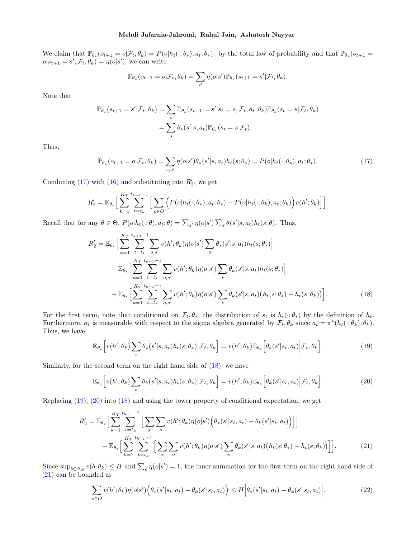We claim that  $\mathbb{P}_{\theta_*}(o_{t+1} = o | \mathcal{F}_t, \theta_k) = P(o | h_t(\cdot; \theta_*), a_t; \theta_*):$  by the total law of probability and that  $\mathbb{P}_{\theta_*}(o_{t+1} = o | \mathcal{F}_t, \theta_k)$  $o|s_{t+1} = s', \mathcal{F}_t, \theta_k) = \eta(o|s')$ , we can write

<span id="page-12-0"></span>
$$
\mathbb{P}_{\theta_*}(o_{t+1}=o|\mathcal{F}_t,\theta_k)=\sum_{s'}\eta(o|s')\mathbb{P}_{\theta_*}(s_{t+1}=s'|\mathcal{F}_t,\theta_k).
$$

Note that

$$
\mathbb{P}_{\theta_*}(s_{t+1} = s' | \mathcal{F}_t, \theta_k) = \sum_s \mathbb{P}_{\theta_*}(s_{t+1} = s' | s_t = s, \mathcal{F}_t, a_t, \theta_k) \mathbb{P}_{\theta_*}(s_t = s | \mathcal{F}_t, \theta_k)
$$

$$
= \sum_s \theta_* (s' | s, a_t) \mathbb{P}_{\theta_*}(s_t = s | \mathcal{F}_t).
$$

Thus,

$$
\mathbb{P}_{\theta_*}(o_{t+1}=o|\mathcal{F}_t,\theta_k)=\sum_{s,s'}\eta(o|s')\theta_*(s'|s,a_t)h_t(s;\theta_*)=P(o|h_t(\cdot;\theta_*),a_t;\theta_*). \tag{17}
$$

Combining [\(17\)](#page-12-0) with [\(16\)](#page-11-1) and substituting into  $R'_2$ , we get

$$
R_2' = \mathbb{E}_{\theta_*} \Big[ \sum_{k=1}^{K_T} \sum_{t=t_k}^{t_{k+1}-1} \Big[ \sum_{o \in O} \Big( P(o|h_t(\cdot; \theta_*), a_t; \theta_*) - P(o|h_t(\cdot; \theta_k), a_t; \theta_k) \Big) v(h'; \theta_k) \Big] \Big].
$$

Recall that for any  $\theta \in \Theta$ ,  $P(o|h_t(\cdot;\theta), a_t; \theta) = \sum_{s'} \eta(o|s') \sum_s \theta(s'|s, a_t) h_t(s; \theta)$ . Thus,

$$
R'_{2} = \mathbb{E}_{\theta_{*}} \Big[ \sum_{k=1}^{K_{T}} \sum_{t=t_{k}}^{t_{k+1}-1} \sum_{o,s'} v(h';\theta_{k}) \eta(o|s') \sum_{s} \theta_{*}(s'|s,a_{t}) h_{t}(s;\theta_{*}) \Big] - \mathbb{E}_{\theta_{*}} \Big[ \sum_{k=1}^{K_{T}} \sum_{t=t_{k}}^{t_{k+1}-1} \sum_{o,s'} v(h';\theta_{k}) \eta(o|s') \sum_{s} \theta_{k}(s'|s,a_{t}) h_{t}(s;\theta_{*}) \Big] + \mathbb{E}_{\theta_{*}} \Big[ \sum_{k=1}^{K_{T}} \sum_{t=t_{k}}^{t_{k+1}-1} \sum_{o,s'} v(h';\theta_{k}) \eta(o|s') \sum_{s} \theta_{k}(s'|s,a_{t}) \big( h_{t}(s;\theta_{*}) - h_{t}(s;\theta_{k}) \big) \Big].
$$
 (18)

For the first term, note that conditioned on  $\mathcal{F}_t, \theta_*,$  the distribution of  $s_t$  is  $h_t(\cdot; \theta_*)$  by the definition of  $h_t$ . Furthermore,  $a_t$  is measurable with respect to the sigma algebra generated by  $\mathcal{F}_t, \theta_k$  since  $a_t = \pi^*(h_t(\cdot; \theta_k); \theta_k)$ . Thus, we have

<span id="page-12-2"></span><span id="page-12-1"></span>
$$
\mathbb{E}_{\theta_*}\Big[v(h';\theta_k)\sum_s \theta_*(s'|s,a_t)h_t(s;\theta_*)\Big|\mathcal{F}_t,\theta_k\Big] = v(h';\theta_k)\mathbb{E}_{\theta_*}\Big[\theta_*(s'|s_t,a_t)\Big|\mathcal{F}_t,\theta_k\Big].\tag{19}
$$

Similarly, for the second term on the right hand side of [\(18\)](#page-12-1), we have

<span id="page-12-3"></span>
$$
\mathbb{E}_{\theta_*}\Big[v(h';\theta_k)\sum_s \theta_k(s'|s,a_t)h_t(s;\theta_*)\Big|\mathcal{F}_t,\theta_k\Big] = v(h';\theta_k)\mathbb{E}_{\theta_*}\Big[\theta_k(s'|s_t,a_t)\Big|\mathcal{F}_t,\theta_k\Big].\tag{20}
$$

Replacing [\(19\)](#page-12-2), [\(20\)](#page-12-3) into [\(18\)](#page-12-1) and using the tower property of conditional expectation, we get

$$
R'_{2} = \mathbb{E}_{\theta_{*}} \Big[ \sum_{k=1}^{K_{T}} \sum_{t=t_{k}}^{t_{k+1}-1} \Big[ \sum_{s'} \sum_{o} v(h';\theta_{k}) \eta(o|s') \Big( \theta_{*}(s'|s_{t}, a_{t}) - \theta_{k}(s'|s_{t}, a_{t}) \Big) \Big] \Big] + \mathbb{E}_{\theta_{*}} \Big[ \sum_{k=1}^{K_{T}} \sum_{t=t_{k}}^{t_{k+1}-1} \Big[ \sum_{s'} \sum_{o} v(h';\theta_{k}) \eta(o|s') \sum_{s} \theta_{k}(s'|s, a_{t}) \big( h_{t}(s; \theta_{*}) - h_{t}(s; \theta_{k}) \big) \Big] \Big].
$$
 (21)

Since  $\sup_{b\in\Delta_{\mathcal{S}}} v(b,\theta_k) \leq H$  and  $\sum_o \eta(o|s') = 1$ , the inner summation for the first term on the right hand side of [\(21\)](#page-12-4) can be bounded as

<span id="page-12-5"></span><span id="page-12-4"></span>
$$
\sum_{o \in O} v(h';\theta_k) \eta(o|s') \Big( \theta_*(s'|s_t, a_t) - \theta_k(s'|s_t, a_t) \Big) \le H \Big| \theta_*(s'|s_t, a_t) - \theta_k(s'|s_t, a_t) \Big|.
$$
 (22)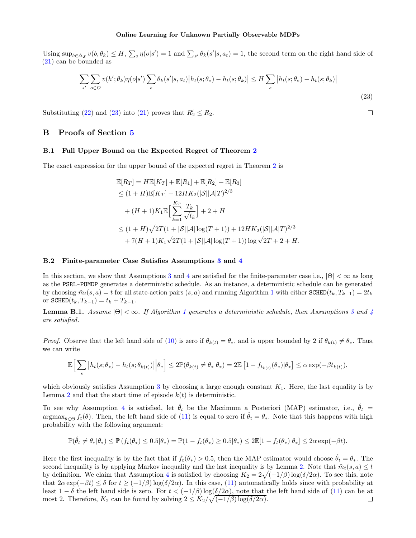Using  $\sup_{b\in\Delta_{\mathcal{S}}} v(b,\theta_k) \leq H$ ,  $\sum_{o} \eta(o|s') = 1$  and  $\sum_{s'} \theta_k(s'|s,a_t) = 1$ , the second term on the right hand side of [\(21\)](#page-12-4) can be bounded as

$$
\sum_{s'} \sum_{o \in O} v(h';\theta_k) \eta(o|s') \sum_s \theta_k(s'|s,a_t) \left| h_t(s;\theta_*) - h_t(s;\theta_k) \right| \le H \sum_s \left| h_t(s;\theta_*) - h_t(s;\theta_k) \right|
$$
\n(23)

Substituting [\(22\)](#page-12-5) and [\(23\)](#page-13-2) into [\(21\)](#page-12-4) proves that  $R'_2 \le R_2$ .

### B Proofs of Section [5](#page-5-0)

#### <span id="page-13-1"></span>B.1 Full Upper Bound on the Expected Regret of Theorem [2](#page-6-2)

The exact expression for the upper bound of the expected regret in Theorem [2](#page-6-2) is

$$
\mathbb{E}[R_T] = H\mathbb{E}[K_T] + \mathbb{E}[R_1] + \mathbb{E}[R_2] + \mathbb{E}[R_3]
$$
  
\n
$$
\leq (1+H)\mathbb{E}[K_T] + 12HK_2(|\mathcal{S}||\mathcal{A}|T)^{2/3}
$$
  
\n
$$
+ (H+1)K_1\mathbb{E}\Big[\sum_{k=1}^{K_T} \frac{T_k}{\sqrt{t_k}}\Big] + 2 + H
$$
  
\n
$$
\leq (1+H)\sqrt{2T(1+|\mathcal{S}||\mathcal{A}|\log(T+1))} + 12HK_2(|\mathcal{S}||\mathcal{A}|T)^{2/3}
$$
  
\n
$$
+ 7(H+1)K_1\sqrt{2T}(1+|\mathcal{S}||\mathcal{A}|\log(T+1))\log\sqrt{2T} + 2 + H.
$$

#### B.2 Finite-parameter Case Satisfies Assumptions [3](#page-6-0) and [4](#page-6-1)

In this section, we show that Assumptions [3](#page-6-0) and [4](#page-6-1) are satisfied for the finite-parameter case i.e.,  $|\Theta| < \infty$  as long as the PSRL-POMDP generates a deterministic schedule. As an instance, a deterministic schedule can be generated by choosing  $\tilde{m}_t(s, a) = t$  for all state-action pairs  $(s, a)$  and running Algorithm [1](#page-3-1) with either SCHED( $t_k, T_{k-1}$ ) =  $2t_k$ or  $SCHED(t_k, T_{k-1}) = t_k + T_{k-1}.$ 

<span id="page-13-0"></span>**Lemma B.[1](#page-3-1).** Assume  $|\Theta| < \infty$ . If Algorithm 1 generates a deterministic schedule, then Assumptions [3](#page-6-0) and [4](#page-6-1) are satisfied.

*Proof.* Observe that the left hand side of [\(10\)](#page-6-7) is zero if  $\theta_{k(t)} = \theta_*$ , and is upper bounded by 2 if  $\theta_{k(t)} \neq \theta_*$ . Thus, we can write

$$
\mathbb{E}\Big[\sum_{s}|h_t(s;\theta_*)-h_t(s;\theta_{k(t)})|\Big|\theta_*\Big]\leq 2\mathbb{P}(\theta_{k(t)}\neq \theta_*|\theta_*)=2\mathbb{E}\left[1-f_{t_{k(t)}}(\theta_*)|\theta_*\right]\leq \alpha \exp(-\beta t_{k(t)}),
$$

which obviously satisfies Assumption [3](#page-6-0) by choosing a large enough constant  $K_1$ . Here, the last equality is by Lemma [2](#page-4-0) and that the start time of episode  $k(t)$  is deterministic.

To see why Assumption [4](#page-6-1) is satisfied, let  $\hat{\theta}_t$  be the Maximum a Posteriori (MAP) estimator, i.e.,  $\hat{\theta}_t$  =  $\arg\max_{\theta \in \Theta} f_t(\theta)$ . Then, the left hand side of [\(11\)](#page-6-8) is equal to zero if  $\hat{\theta}_t = \theta_*$ . Note that this happens with high probability with the following argument:

$$
\mathbb{P}(\hat{\theta}_t \neq \theta_*|\theta_*) \leq \mathbb{P}\left(f_t(\theta_*) \leq 0.5|\theta_*\right) = \mathbb{P}(1 - f_t(\theta_*) \geq 0.5|\theta_*) \leq 2\mathbb{E}[1 - f_t(\theta_*)|\theta_*] \leq 2\alpha \exp(-\beta t).
$$

Here the first inequality is by the fact that if  $f_t(\theta_*) > 0.5$ , then the MAP estimator would choose  $\hat{\theta}_t = \theta_*$ . The second inequality is by applying Markov inequality and the last inequality is by Lemma [2.](#page-4-0) Note that  $\tilde{m}_t(s, a) \leq t$ by definition. We claim that Assumption [4](#page-6-1) is satisfied by choosing  $K_2 = 2\sqrt{(-1/\beta)\log(\delta/2\alpha)}$ . To see this, note that  $2\alpha \exp(-\beta t) \leq \delta$  for  $t \geq (-1/\beta) \log(\delta/2\alpha)$ . In this case, [\(11\)](#page-6-8) automatically holds since with probability at least  $1 - \delta$  the left hand side is zero. For  $t < (-1/\beta) \log(\delta/2\alpha)$ , note that the left hand side of [\(11\)](#page-6-8) can be at most 2. Therefore,  $K_2$  can be found by solving  $2 \leq K_2/\sqrt{(-1/\beta)\log(\delta/2\alpha)}$ .  $\Box$ 

<span id="page-13-2"></span> $\Box$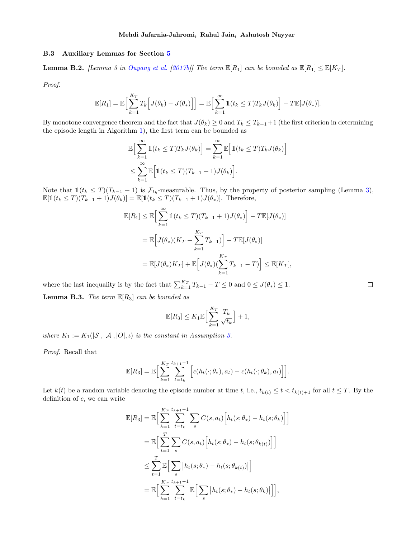#### B.3 Auxiliary Lemmas for Section [5](#page-5-0)

<span id="page-14-0"></span>**Lemma B.2.** [Lemma 3 in [Ouyang et al.](#page-9-1) [\[2017b\]](#page-9-1)] The term  $\mathbb{E}[R_1]$  can be bounded as  $\mathbb{E}[R_1] \leq \mathbb{E}[K_T]$ .

Proof.

$$
\mathbb{E}[R_1] = \mathbb{E}\Big[\sum_{k=1}^{K_T} T_k \Big[J(\theta_k) - J(\theta_*)\Big]\Big] = \mathbb{E}\Big[\sum_{k=1}^{\infty} \mathbb{1}(t_k \leq T) T_k J(\theta_k)\Big] - T \mathbb{E}[J(\theta_*)].
$$

By monotone convergence theorem and the fact that  $J(\theta_k) \geq 0$  and  $T_k \leq T_{k-1}+1$  (the first criterion in determining the episode length in Algorithm [1\)](#page-3-1), the first term can be bounded as

i

 $\Box$ 

$$
\mathbb{E}\Big[\sum_{k=1}^{\infty} \mathbb{1}(t_k \le T) T_k J(\theta_k)\Big] = \sum_{k=1}^{\infty} \mathbb{E}\Big[\mathbb{1}(t_k \le T) T_k J(\theta_k)\Big]
$$
  

$$
\le \sum_{k=1}^{\infty} \mathbb{E}\Big[\mathbb{1}(t_k \le T) (T_{k-1} + 1) J(\theta_k)\Big].
$$

Note that  $\mathbb{1}(t_k \leq T)(T_{k-1} + 1)$  is  $\mathcal{F}_{t_k}$ -measurable. Thus, by the property of posterior sampling (Lemma [3\)](#page-6-5),  $\mathbb{E}[1(t_k \leq T)(T_{k-1} + 1)J(\theta_k)] = \mathbb{E}[1(t_k \leq T)(T_{k-1} + 1)J(\theta_k)].$  Therefore,

$$
\mathbb{E}[R_1] \leq \mathbb{E}\Big[\sum_{k=1}^{\infty} \mathbb{1}(t_k \leq T)(T_{k-1} + 1)J(\theta_*)\Big] - T\mathbb{E}[J(\theta_*)]
$$
  
= 
$$
\mathbb{E}\Big[J(\theta_*)(K_T + \sum_{k=1}^{K_T} T_{k-1})\Big] - T\mathbb{E}[J(\theta_*)]
$$
  
= 
$$
\mathbb{E}[J(\theta_*)K_T] + \mathbb{E}\Big[J(\theta_*)\left(\sum_{k=1}^{K_T} T_{k-1} - T\right)\Big] \leq \mathbb{E}[K_T],
$$

<span id="page-14-1"></span>where the last inequality is by the fact that  $\sum_{k=1}^{K_T} T_{k-1} - T \leq 0$  and  $0 \leq J(\theta_*) \leq 1$ . **Lemma B.3.** The term  $\mathbb{E}[R_3]$  can be bounded as

$$
\mathbb{E}[R_3] \leq K_1 \mathbb{E}\Big[\sum_{k=1}^{K_T} \frac{T_k}{\sqrt{t_k}}\Big] + 1,
$$

where  $K_1 := K_1(|\mathcal{S}|, |\mathcal{A}|, |O|, \iota)$  is the constant in Assumption [3.](#page-6-0)

Proof. Recall that

$$
\mathbb{E}[R_3] = \mathbb{E}\Big[\sum_{k=1}^{K_T} \sum_{t=t_k}^{t_{k+1}-1} \Big[c(h_t(\cdot;\theta_*),a_t) - c(h_t(\cdot;\theta_k),a_t)\Big]\Big].
$$

Let  $k(t)$  be a random variable denoting the episode number at time t, i.e.,  $t_{k(t)} \leq t < t_{k(t)+1}$  for all  $t \leq T$ . By the definition of  $c$ , we can write

$$
\mathbb{E}[R_3] = \mathbb{E}\Big[\sum_{k=1}^{K_T} \sum_{t=t_k}^{t_{k+1}-1} \sum_s C(s, a_t) \Big[h_t(s; \theta_*) - h_t(s; \theta_k)\Big]\Big]
$$
  
\n
$$
= \mathbb{E}\Big[\sum_{t=1}^T \sum_s C(s, a_t) \Big[h_t(s; \theta_*) - h_t(s; \theta_{k(t)})\Big]\Big]
$$
  
\n
$$
\leq \sum_{t=1}^T \mathbb{E}\Big[\sum_s |h_t(s; \theta_*) - h_t(s; \theta_{k(t)})|\Big]
$$
  
\n
$$
= \mathbb{E}\Big[\sum_{k=1}^{K_T} \sum_{t=t_k}^{t_{k+1}-1} \mathbb{E}\Big[\sum_s |h_t(s; \theta_*) - h_t(s; \theta_k)|\Big]\Big],
$$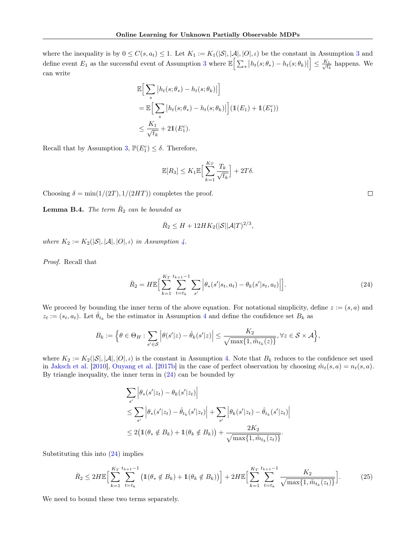where the inequality is by  $0 \leq C(s, a_t) \leq 1$ . Let  $K_1 := K_1(|\mathcal{S}|, |\mathcal{A}|, |\mathcal{O}|, \iota)$  be the constant in Assumption [3](#page-6-0) and define event  $E_1$  as the successful event of Assumption [3](#page-6-0) where  $\mathbb{E}\Big[\sum_s |h_t(s; \theta_*) - h_t(s; \theta_k)|\Big]$  $\Big] \leq \frac{K_1}{4}$  $\frac{t_1}{t_k}$  happens. We can write

$$
\mathbb{E}\Big[\sum_{s} |h_t(s; \theta_*) - h_t(s; \theta_k)|\Big]
$$
  
= 
$$
\mathbb{E}\Big[\sum_{s} |h_t(s; \theta_*) - h_t(s; \theta_k)|\Big](\mathbb{1}(E_1) + \mathbb{1}(E_1^c))
$$
  

$$
\leq \frac{K_1}{\sqrt{t_k}} + 2\mathbb{1}(E_1^c).
$$

Recall that by Assumption [3,](#page-6-0)  $\mathbb{P}(E_1^c) \leq \delta$ . Therefore,

$$
\mathbb{E}[R_3] \leq K_1 \mathbb{E}\Big[\sum_{k=1}^{K_T} \frac{T_k}{\sqrt{t_k}}\Big] + 2T\delta.
$$

Choosing  $\delta = \min(1/(2T), 1/(2HT))$  completes the proof.

<span id="page-15-0"></span>**Lemma B.4.** The term  $\overline{R}_2$  can be bounded as

$$
\bar{R}_2 \le H + 12HK_2(|\mathcal{S}||\mathcal{A}|T)^{2/3}
$$

where  $K_2 := K_2(|\mathcal{S}|, |\mathcal{A}|, |O|, \iota)$  in Assumption [4.](#page-6-1)

Proof. Recall that

$$
\bar{R}_2 = H\mathbb{E}\Big[\sum_{k=1}^{K_T} \sum_{t=t_k}^{t_{k+1}-1} \sum_{s'} \Big|\theta_*(s'|s_t, a_t) - \theta_k(s'|s_t, a_t)\Big|\Big].\tag{24}
$$

,

We proceed by bounding the inner term of the above equation. For notational simplicity, define  $z := (s, a)$  and  $z_t := (s_t, a_t)$ . Let  $\hat{\theta}_{t_k}$  be the estimator in Assumption [4](#page-6-1) and define the confidence set  $B_k$  as

$$
B_k := \Big\{\theta \in \Theta_H : \sum_{s' \in \mathcal{S}} \Big|\theta(s'|z) - \hat{\theta}_k(s'|z)\Big| \leq \frac{K_2}{\sqrt{\max\{1, \tilde{m}_{t_k}(z)\}}}, \forall z \in \mathcal{S} \times \mathcal{A}\Big\},\
$$

where  $K_2 := K_2(|\mathcal{S}|, |\mathcal{A}|, |O|, \iota)$  is the constant in Assumption [4.](#page-6-1) Note that  $B_k$  reduces to the confidence set used in [Jaksch et al.](#page-9-0) [\[2010\]](#page-9-0), [Ouyang et al.](#page-9-1) [\[2017b\]](#page-9-1) in the case of perfect observation by choosing  $\tilde{m}_t(s, a) = n_t(s, a)$ . By triangle inequality, the inner term in [\(24\)](#page-15-1) can be bounded by

<span id="page-15-2"></span>
$$
\sum_{s'} \left| \theta_*(s'|z_t) - \theta_k(s'|z_t) \right|
$$
  
\n
$$
\leq \sum_{s'} \left| \theta_*(s'|z_t) - \hat{\theta}_{t_k}(s'|z_t) \right| + \sum_{s'} \left| \theta_k(s'|z_t) - \hat{\theta}_{t_k}(s'|z_t) \right|
$$
  
\n
$$
\leq 2(\mathbb{1}(\theta_* \notin B_k) + \mathbb{1}(\theta_k \notin B_k)) + \frac{2K_2}{\sqrt{\max\{1, \tilde{m}_{t_k}(z_t)\}}}.
$$

Substituting this into [\(24\)](#page-15-1) implies

$$
\bar{R}_2 \le 2H\mathbb{E}\Big[\sum_{k=1}^{K_T} \sum_{t=t_k}^{t_{k+1}-1} \left(1(\theta_* \notin B_k) + 1(\theta_k \notin B_k)\right)\Big] + 2H\mathbb{E}\Big[\sum_{k=1}^{K_T} \sum_{t=t_k}^{t_{k+1}-1} \frac{K_2}{\sqrt{\max\{1, \tilde{m}_{t_k}(z_t)\}}}\Big].\tag{25}
$$

We need to bound these two terms separately.

<span id="page-15-1"></span> $\Box$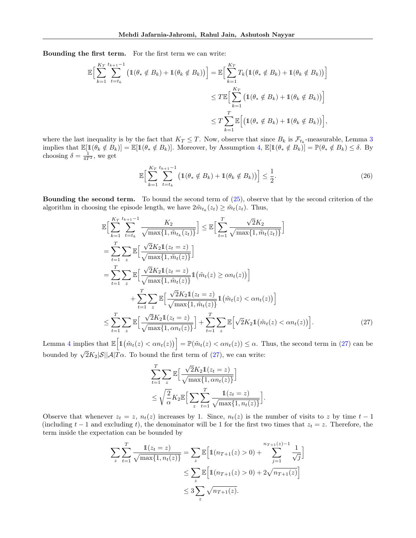Bounding the first term. For the first term we can write:

$$
\mathbb{E}\Big[\sum_{k=1}^{K_T} \sum_{t=t_k}^{t_{k+1}-1} \left(\mathbb{1}(\theta_* \notin B_k) + \mathbb{1}(\theta_k \notin B_k)\right)\Big] = \mathbb{E}\Big[\sum_{k=1}^{K_T} T_k \left(\mathbb{1}(\theta_* \notin B_k) + \mathbb{1}(\theta_k \notin B_k)\right)\Big] \n\leq T \mathbb{E}\Big[\sum_{k=1}^{K_T} \left(\mathbb{1}(\theta_* \notin B_k) + \mathbb{1}(\theta_k \notin B_k)\right)\Big] \n\leq T \sum_{k=1}^{T} \mathbb{E}\Big[\left(\mathbb{1}(\theta_* \notin B_k) + \mathbb{1}(\theta_k \notin B_k)\right)\Big],
$$

where the last inequality is by the fact that  $K_T \leq T$ . Now, observe that since  $B_k$  is  $\mathcal{F}_{t_k}$ -measurable, Lemma [3](#page-6-5) implies that  $\mathbb{E}[\mathbb{1}(\theta_k \notin B_k)] = \mathbb{E}[\mathbb{1}(\theta_k \notin B_k)]$ . Moreover, by Assumption [4,](#page-6-1)  $\mathbb{E}[\mathbb{1}(\theta_k \notin B_k)] = \mathbb{P}(\theta_k \notin B_k) \leq \delta$ . By choosing  $\delta = \frac{1}{4T^2}$ , we get

<span id="page-16-1"></span>
$$
\mathbb{E}\Big[\sum_{k=1}^{K_T} \sum_{t=t_k}^{t_{k+1}-1} \left(1(\theta_* \notin B_k) + 1(\theta_k \notin B_k)\right)\Big] \le \frac{1}{2}.\tag{26}
$$

**Bounding the second term.** To bound the second term of  $(25)$ , observe that by the second criterion of the algorithm in choosing the episode length, we have  $2\tilde{m}_{t_k}(z_t) \geq \tilde{m}_t(z_t)$ . Thus,

$$
\mathbb{E}\Big[\sum_{k=1}^{K_{T}}\sum_{t=t_{k}}^{t_{k+1}-1}\frac{K_{2}}{\sqrt{\max\{1,\tilde{m}_{t_{k}}(z_{t})\}}}\Big] \leq \mathbb{E}\Big[\sum_{t=1}^{T}\frac{\sqrt{2}K_{2}}{\sqrt{\max\{1,\tilde{m}_{t}(z_{t})\}}}\Big]
$$
\n
$$
= \sum_{t=1}^{T}\sum_{z}\mathbb{E}\Big[\frac{\sqrt{2}K_{2}\mathbb{1}(z_{t}=z)}{\sqrt{\max\{1,\tilde{m}_{t}(z)\}}}\Big]
$$
\n
$$
= \sum_{t=1}^{T}\sum_{z}\mathbb{E}\Big[\frac{\sqrt{2}K_{2}\mathbb{1}(z_{t}=z)}{\sqrt{\max\{1,\tilde{m}_{t}(z)\}}}\mathbb{1}(\tilde{m}_{t}(z)\geq\alpha n_{t}(z))\Big]
$$
\n
$$
+ \sum_{t=1}^{T}\sum_{z}\mathbb{E}\Big[\frac{\sqrt{2}K_{2}\mathbb{1}(z_{t}=z)}{\sqrt{\max\{1,\tilde{m}_{t}(z)\}}}\mathbb{1}(\tilde{m}_{t}(z)<\alpha n_{t}(z))\Big]
$$
\n
$$
\leq \sum_{t=1}^{T}\sum_{z}\mathbb{E}\Big[\frac{\sqrt{2}K_{2}\mathbb{1}(z_{t}=z)}{\sqrt{\max\{1,\alpha n_{t}(z)\}}}\Big] + \sum_{t=1}^{T}\sum_{z}\mathbb{E}\Big[\sqrt{2}K_{2}\mathbb{1}(\tilde{m}_{t}(z)<\alpha n_{t}(z))\Big].\tag{27}
$$

Lemma [4](#page-6-6) implies that  $\mathbb{E}\left[\mathbb{1}(\tilde{m}_t(z) < \alpha n_t(z))\right] = \mathbb{P}(\tilde{m}_t(z) < \alpha n_t(z)) \leq \alpha$ . Thus, the second term in [\(27\)](#page-16-0) can be bounded by  $\sqrt{2}K_2|\mathcal{S}||\mathcal{A}|T\alpha$ . To bound the first term of [\(27\)](#page-16-0), we can write:

<span id="page-16-0"></span>
$$
\sum_{t=1}^{T} \sum_{z} \mathbb{E} \Big[ \frac{\sqrt{2}K_2 \mathbb{1}(z_t = z)}{\sqrt{\max\{1, \alpha n_t(z)\}}} \Big]
$$
  

$$
\leq \sqrt{\frac{2}{\alpha}} K_2 \mathbb{E} \Big[ \sum_{z} \sum_{t=1}^{T} \frac{\mathbb{1}(z_t = z)}{\sqrt{\max\{1, n_t(z)\}}} \Big].
$$

Observe that whenever  $z_t = z$ ,  $n_t(z)$  increases by 1. Since,  $n_t(z)$  is the number of visits to z by time  $t-1$ (including t – 1 and excluding t), the denominator will be 1 for the first two times that  $z_t = z$ . Therefore, the term inside the expectation can be bounded by

$$
\sum_{z} \sum_{t=1}^{T} \frac{\mathbb{1}(z_t = z)}{\sqrt{\max\{1, n_t(z)\}}} = \sum_{z} \mathbb{E}\Big[\mathbb{1}(n_{T+1}(z) > 0) + \sum_{j=1}^{n_{T+1}(z)-1} \frac{1}{\sqrt{j}}\Big] \newline \leq \sum_{z} \mathbb{E}\Big[\mathbb{1}(n_{T+1}(z) > 0) + 2\sqrt{n_{T+1}(z)}\Big] \newline \leq 3\sum_{z} \sqrt{n_{T+1}(z)}.
$$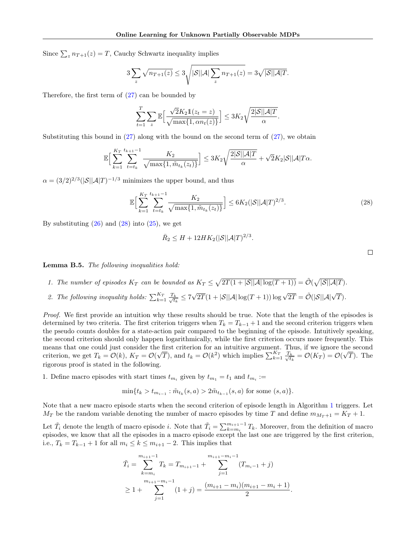Since  $\sum_{z} n_{T+1}(z) = T$ , Cauchy Schwartz inequality implies

$$
3\sum_{z}\sqrt{n_{T+1}(z)} \leq 3\sqrt{|\mathcal{S}||\mathcal{A}|\sum_{z}n_{T+1}(z)} = 3\sqrt{|\mathcal{S}||\mathcal{A}|T}.
$$

Therefore, the first term of [\(27\)](#page-16-0) can be bounded by

$$
\sum_{t=1}^T \sum_z \mathbb{E}\Big[\frac{\sqrt{2}K_2 \mathbb{1}(z_t = z)}{\sqrt{\max\{1, \alpha n_t(z)\}}}\Big] \leq 3K_2 \sqrt{\frac{2|\mathcal{S}||\mathcal{A}|T}{\alpha}}.
$$

Substituting this bound in  $(27)$  along with the bound on the second term of  $(27)$ , we obtain

$$
\mathbb{E}\Big[\sum_{k=1}^{K_T}\sum_{t=t_k}^{t_{k+1}-1}\frac{K_2}{\sqrt{\max\{1,\tilde{m}_{t_k}(z_t)\}}}\Big]\leq 3K_2\sqrt{\frac{2|\mathcal{S}||\mathcal{A}|T}{\alpha}}+\sqrt{2}K_2|\mathcal{S}||\mathcal{A}|T\alpha.
$$

 $\alpha = (3/2)^{2/3} (|\mathcal{S}| |\mathcal{A}|T)^{-1/3}$  minimizes the upper bound, and thus

$$
\mathbb{E}\Big[\sum_{k=1}^{K_T} \sum_{t=t_k}^{t_{k+1}-1} \frac{K_2}{\sqrt{\max\{1, \tilde{m}_{t_k}(z_t)\}}}\Big] \le 6K_2(|\mathcal{S}||\mathcal{A}|T)^{2/3}.
$$
 (28)

<span id="page-17-1"></span> $\Box$ 

By substituting  $(26)$  and  $(28)$  into  $(25)$ , we get

$$
\bar{R}_2 \le H + 12HK_2(|\mathcal{S}||\mathcal{A}|T)^{2/3}.
$$

<span id="page-17-0"></span>Lemma B.5. The following inequalities hold:

- 1. The number of episodes  $K_T$  can be bounded as  $K_T \leq \sqrt{2T(1+|\mathcal{S}||\mathcal{A}|\log(T+1))} = \tilde{\mathcal{O}}(\sqrt{|\mathcal{S}||\mathcal{A}|T}).$
- 2. The following inequality holds:  $\sum_{k=1}^{K_T} \frac{T_k}{\sqrt{t_k}}$  $\frac{k}{t_k} \leq 7$  $\sqrt{2T}(1+|\mathcal{S}||\mathcal{A}|\log(T+1))\log\sqrt{2T}=\tilde{\mathcal{O}}(|\mathcal{S}||\mathcal{A}|\sqrt{T}).$

Proof. We first provide an intuition why these results should be true. Note that the length of the episodes is determined by two criteria. The first criterion triggers when  $T_k = T_{k-1} + 1$  and the second criterion triggers when the pseudo counts doubles for a state-action pair compared to the beginning of the episode. Intuitively speaking, the second criterion should only happen logarithmically, while the first criterion occurs more frequently. This means that one could just consider the first criterion for an intuitive argument. Thus, if we ignore the second criterion, we get  $T_k = \mathcal{O}(k)$ ,  $K_T = \mathcal{O}(k)$ e ;  $(\overline{T})$ , and  $t_k = \mathcal{O}(k^2)$  which implies  $\sum_{k=1}^{K_T} \frac{T_k}{\sqrt{t_k}}$  $\frac{k}{t_k} = \mathcal{O}(K_T) = \mathcal{O}(\frac{1}{t_k})$ √  $T$ ). The rigorous proof is stated in the following.

1. Define macro episodes with start times  $t_{m_i}$  given by  $t_{m_1} = t_1$  and  $t_{m_i} :=$ 

$$
\min\{t_k > t_{m_{i-1}} : \tilde{m}_{t_k}(s, a) > 2\tilde{m}_{t_{k-1}}(s, a) \text{ for some } (s, a)\}.
$$

Note that a new macro episode starts when the second criterion of episode length in Algorithm [1](#page-3-1) triggers. Let  $M_T$  be the random variable denoting the number of macro episodes by time T and define  $m_{M_T+1} = K_T + 1$ .

Let  $\tilde{T}_i$  denote the length of macro episode i. Note that  $\tilde{T}_i = \sum_{k=m_i}^{m_{i+1}-1} T_k$ . Moreover, from the definition of macro episodes, we know that all the episodes in a macro episode except the last one are triggered by the first criterion, i.e.,  $T_k = T_{k-1} + 1$  for all  $m_i \leq k \leq m_{i+1} - 2$ . This implies that

$$
\tilde{T}_i = \sum_{k=m_i}^{m_{i+1}-1} T_k = T_{m_{i+1}-1} + \sum_{j=1}^{m_{i+1}-m_i-1} (T_{m_i-1} + j)
$$
  
\n
$$
\geq 1 + \sum_{j=1}^{m_{i+1}-m_i-1} (1+j) = \frac{(m_{i+1}-m_i)(m_{i+1}-m_i+1)}{2}.
$$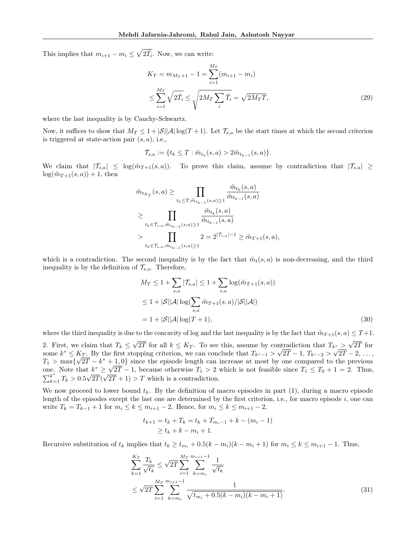This implies that  $m_{i+1} - m_i \leq \sqrt{2\tilde{T}_i}$ . Now, we can write:

<span id="page-18-0"></span>
$$
K_T = m_{M_T+1} - 1 = \sum_{i=1}^{M_T} (m_{i+1} - m_i)
$$
  

$$
\leq \sum_{i=1}^{M_T} \sqrt{2\tilde{T}_i} \leq \sqrt{2M_T \sum_i \tilde{T}_i} = \sqrt{2M_T T},
$$
 (29)

where the last inequality is by Cauchy-Schwartz.

Now, it suffices to show that  $M_T \leq 1 + |\mathcal{S}||\mathcal{A}| \log(T+1)$ . Let  $\mathcal{T}_{s,a}$  be the start times at which the second criterion is triggered at state-action pair  $(s, a)$ , i.e.,

$$
\mathcal{T}_{s,a} := \{ t_k \leq T : \tilde{m}_{t_k}(s,a) > 2\tilde{m}_{t_{k-1}}(s,a) \}.
$$

We claim that  $|\mathcal{T}_{s,a}| \leq \log(\tilde{m}_{T+1}(s,a))$ . To prove this claim, assume by contradiction that  $|\mathcal{T}_{s,a}| \geq$  $log(\tilde{m}_{T+1}(s, a)) + 1$ , then

$$
\tilde{m}_{t_{K_T}}(s, a) \ge \prod_{t_k \le T, \tilde{m}_{t_{k-1}}(s, a) \ge 1} \frac{\tilde{m}_{t_k}(s, a)}{\tilde{m}_{t_{k-1}}(s, a)}
$$
\n
$$
\ge \prod_{t_k \in \mathcal{T}_{s, a}, \tilde{m}_{t_{k-1}}(s, a) \ge 1} \frac{\tilde{m}_{t_k}(s, a)}{\tilde{m}_{t_{k-1}}(s, a)}
$$
\n
$$
> \prod_{t_k \in \mathcal{T}_{s, a}, \tilde{m}_{t_{k-1}}(s, a) \ge 1} 2 = 2^{|\mathcal{T}_{s, a}|-1} \ge \tilde{m}_{T+1}(s, a),
$$

which is a contradiction. The second inequality is by the fact that  $\tilde{m}_t(s, a)$  is non-decreasing, and the third inequality is by the definition of  $\mathcal{T}_{s,a}$ . Therefore,

<span id="page-18-2"></span>
$$
M_T \le 1 + \sum_{s,a} |\mathcal{T}_{s,a}| \le 1 + \sum_{s,a} \log(\tilde{m}_{T+1}(s,a))
$$
  
\n
$$
\le 1 + |\mathcal{S}||\mathcal{A}| \log(\sum_{s,a} \tilde{m}_{T+1}(s,a)/|\mathcal{S}||\mathcal{A}|)
$$
  
\n
$$
= 1 + |\mathcal{S}||\mathcal{A}| \log(T+1),
$$
\n(30)

where the third inequality is due to the concavity of log and the last inequality is by the fact that  $\tilde{m}_{T+1}(s, a) \leq T+1$ .

2. First, we claim that  $T_k \leq$ √ 2T for all  $k \leq K_T$ . To see this, assume by contradiction that  $T_{k^*}$ √ ntradiction that  $T_{k^*} > \sqrt{2T}$  for some  $k^* \leq K_T$ . By the first stopping criterion, we can conclude that  $T_{k^*-1} > \sqrt{2T} - 1$ ,  $T_{k^*-2} > \sqrt{2T} - 2$ , ...,  $T_1$  > max{ √  $2\overline{T} - k^* + 1, 0$  since the episode length can increase at most by one compared to the previous  $I_1 > \max\{\sqrt{2}I - k^* + \}$ <br>one. Note that  $k^* \geq \sqrt{2}$  $2T - 1$ , because otherwise  $T_1 > 2$  which is not feasible since  $T_1 \le T_0 + 1 = 2$ . Thus,  $\sum_{k=1}^{k^*} T_k > 0.5$ √ 2T( √  $2T + 1$ ) > T which is a contradiction.

We now proceed to lower bound  $t_k$ . By the definition of macro episodes in part (1), during a macro episode length of the episodes except the last one are determined by the first criterion, i.e., for macro episode i, one can write  $T_k = T_{k-1} + 1$  for  $m_i \le k \le m_{i+1} - 2$ . Hence, for  $m_i \le k \le m_{i+1} - 2$ ,

<span id="page-18-1"></span>
$$
t_{k+1} = t_k + T_k = t_k + T_{m_i - 1} + k - (m_i - 1)
$$
  
\n
$$
\ge t_k + k - m_i + 1.
$$

Recursive substitution of  $t_k$  implies that  $t_k \geq t_{m_i} + 0.5(k - m_i)(k - m_i + 1)$  for  $m_i \leq k \leq m_{i+1} - 1$ . Thus,

$$
\sum_{k=1}^{K_T} \frac{T_k}{\sqrt{t_k}} \le \sqrt{2T} \sum_{i=1}^{M_T} \sum_{k=m_i}^{m_{i+1}-1} \frac{1}{\sqrt{t_k}}
$$
\n
$$
\le \sqrt{2T} \sum_{i=1}^{M_T} \sum_{k=m_i}^{m_{i+1}-1} \frac{1}{\sqrt{t_{m_i}+0.5(k-m_i)(k-m_i+1)}}.
$$
\n(31)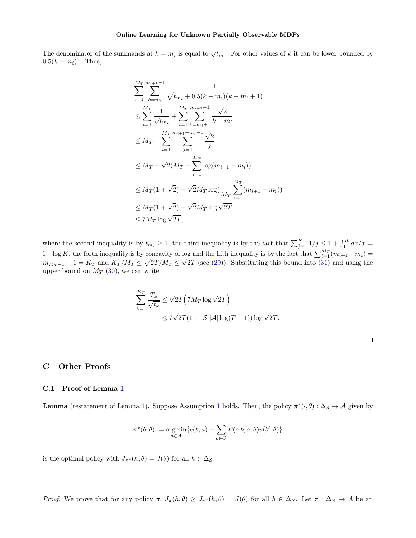The denominator of the summands at  $k = m_i$  is equal to  $\sqrt{t_{m_i}}$ . For other values of k it can be lower bounded by  $0.5(k - m<sub>i</sub>)<sup>2</sup>$ . Thus,

$$
\sum_{i=1}^{M_T} \sum_{k=m_i}^{m_{i+1}-1} \frac{1}{\sqrt{t_{m_i}+0.5(k-m_i)(k-m_i+1)}}
$$
\n
$$
\leq \sum_{i=1}^{M_T} \frac{1}{\sqrt{t_{m_i}}} + \sum_{i=1}^{M_T} \sum_{k=m_i+1}^{m_{i+1}-1} \frac{\sqrt{2}}{k-m_i}
$$
\n
$$
\leq M_T + \sum_{i=1}^{M_T} \sum_{j=1}^{m_{i+1}-m_i-1} \frac{\sqrt{2}}{j}
$$
\n
$$
\leq M_T + \sqrt{2}(M_T + \sum_{i=1}^{M_T} \log(m_{i+1}-m_i))
$$
\n
$$
\leq M_T(1+\sqrt{2}) + \sqrt{2}M_T \log(\frac{1}{M_T} \sum_{i=1}^{M_T} (m_{i+1}-m_i))
$$
\n
$$
\leq M_T(1+\sqrt{2}) + \sqrt{2}M_T \log \sqrt{2T}
$$
\n
$$
\leq 7M_T \log \sqrt{2T},
$$

where the second inequality is by  $t_{m_i} \geq 1$ , the third inequality is by the fact that  $\sum_{j=1}^{K} 1/j \leq 1 + \int_1^K dx/x =$  $1+\log K$ , the forth inequality is by concavity of log and the fifth inequality is by the fact that  $\sum_{i=1}^{M_T} (m_{i+1} - m_i) =$  $m_{M_T+1} - 1 = K_T$  and  $K_T/M_T \leq \sqrt{2T/M_T} \leq \sqrt{2T}$  (see [\(29\)](#page-18-0)). Substituting this bound into [\(31\)](#page-18-1) and using the upper bound on  $M_T$  [\(30\)](#page-18-2), we can write

$$
\sum_{k=1}^{K_T} \frac{T_k}{\sqrt{t_k}} \le \sqrt{2T} \Big( 7M_T \log \sqrt{2T} \Big)
$$
  
 
$$
\le 7\sqrt{2T} (1 + |\mathcal{S}| |\mathcal{A}| \log(T+1)) \log \sqrt{2T}.
$$

## C Other Proofs

### C.1 Proof of Lemma [1](#page-2-5)

**Lemma** (restatement of Lemma [1\)](#page-2-5). Suppose Assumption [1](#page-2-0) holds. Then, the policy  $\pi^*(\cdot,\theta): \Delta_{\mathcal{S}} \to \mathcal{A}$  given by

$$
\pi^*(b;\theta) := \underset{a \in \mathcal{A}}{\operatorname{argmin}} \{c(b,a) + \sum_{o \in O} P(o|b,a;\theta)v(b';\theta)\}
$$

is the optimal policy with  $J_{\pi^*}(h; \theta) = J(\theta)$  for all  $h \in \Delta_{\mathcal{S}}$ .

Proof. We prove that for any policy  $\pi$ ,  $J_{\pi}(h,\theta) \geq J_{\pi^*}(h,\theta) = J(\theta)$  for all  $h \in \Delta_{\mathcal{S}}$ . Let  $\pi : \Delta_{\mathcal{S}} \to \mathcal{A}$  be an